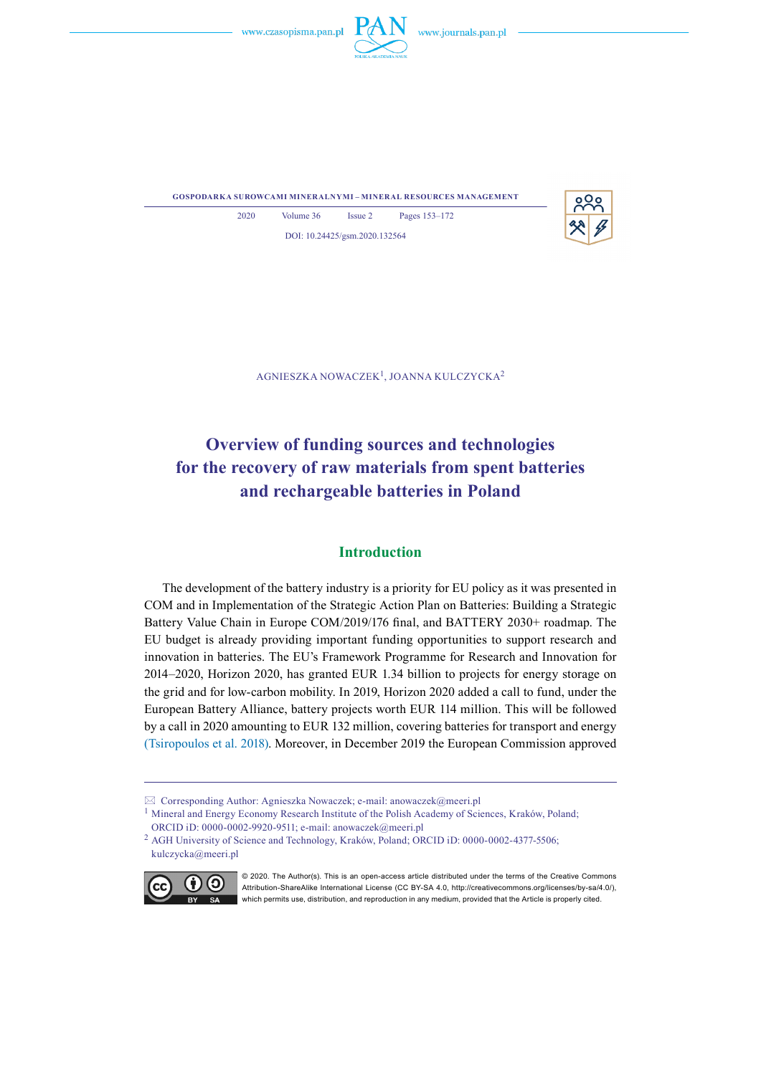



**gospodarka surowcami mineralnymi – mineral resources management**



2020 Volume 36 Issue 2 Pages 153–172 DOI: 10.24425/gsm.2020.132564

Agnieszka Nowaczek1, Joanna Kulczycka2

# **Overview of funding sources and technologies for the recovery of raw materials from spent batteries and rechargeable batteries in Poland**

# **Introduction**

The development of the battery industry is a priority for EU policy as it was presented in COM and in Implementation of the Strategic Action Plan on Batteries: Building a Strategic Battery Value Chain in Europe COM/2019/176 final, and BATTERY 2030+ roadmap. The EU budget is already providing important funding opportunities to support research and innovation in batteries. The EU's Framework Programme for Research and Innovation for 2014–2020, Horizon 2020, has granted EUR 1.34 billion to projects for energy storage on the grid and for low-carbon mobility. In 2019, Horizon 2020 added a call to fund, under the European Battery Alliance, battery projects worth EUR 114 million. This will be followed by a call in 2020 amounting to EUR 132 million, covering batteries for transport and energy (Tsiropoulos et al. 2018). Moreover, in December 2019 the European Commission approved

<sup>2</sup> AGH University of Science and Technology, Kraków, Poland; ORCID iD: 0000-0002-4377-5506; kulczycka@meeri.pl



© 2020. The Author(s). This is an open-access article distributed under the terms of the Creative Commons Attribution-ShareAlike International License (CC BY-SA 4.0, http://creativecommons.org/licenses/by-sa/4.0/), which permits use, distribution, and reproduction in any medium, provided that the Article is properly cited.

Corresponding Author: Agnieszka Nowaczek; e-mail: anowaczek@meeri.pl

<sup>&</sup>lt;sup>1</sup> Mineral and Energy Economy Research Institute of the Polish Academy of Sciences, Kraków, Poland; ORCID iD: 0000-0002-9920-9511; e-mail: anowaczek@meeri.pl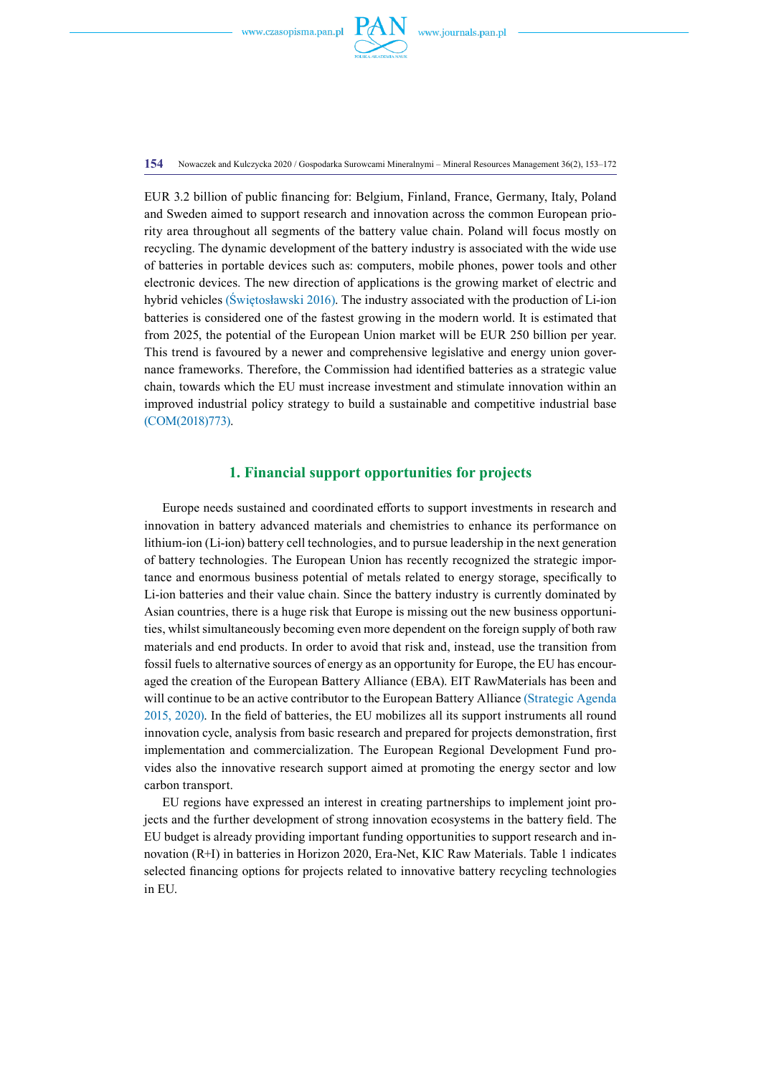

**154** Nowaczek and Kulczycka 2020 / Gospodarka Surowcami Mineralnymi – Mineral Resources Management 36(2), 153–172

EUR 3.2 billion of public financing for: Belgium, Finland, France, Germany, Italy, Poland and Sweden aimed to support research and innovation across the common European priority area throughout all segments of the battery value chain. Poland will focus mostly on recycling. The dynamic development of the battery industry is associated with the wide use of batteries in portable devices such as: computers, mobile phones, power tools and other electronic devices. The new direction of applications is the growing market of electric and hybrid vehicles (Świętosławski 2016). The industry associated with the production of Li-ion batteries is considered one of the fastest growing in the modern world. It is estimated that from 2025, the potential of the European Union market will be EUR 250 billion per year. This trend is favoured by a newer and comprehensive legislative and energy union governance frameworks. Therefore, the Commission had identified batteries as a strategic value chain, towards which the EU must increase investment and stimulate innovation within an improved industrial policy strategy to build a sustainable and competitive industrial base (COM(2018)773).

# **1. Financial support opportunities for projects**

Europe needs sustained and coordinated efforts to support investments in research and innovation in battery advanced materials and chemistries to enhance its performance on lithium-ion (Li-ion) battery cell technologies, and to pursue leadership in the next generation of battery technologies. The European Union has recently recognized the strategic importance and enormous business potential of metals related to energy storage, specifically to Li-ion batteries and their value chain. Since the battery industry is currently dominated by Asian countries, there is a huge risk that Europe is missing out the new business opportunities, whilst simultaneously becoming even more dependent on the foreign supply of both raw materials and end products. In order to avoid that risk and, instead, use the transition from fossil fuels to alternative sources of energy as an opportunity for Europe, the EU has encouraged the creation of the European Battery Alliance (EBA). EIT RawMaterials has been and will continue to be an active contributor to the European Battery Alliance (Strategic Agenda 2015, 2020). In the field of batteries, the EU mobilizes all its support instruments all round innovation cycle, analysis from basic research and prepared for projects demonstration, first implementation and commercialization. The European Regional Development Fund provides also the innovative research support aimed at promoting the energy sector and low carbon transport.

EU regions have expressed an interest in creating partnerships to implement joint projects and the further development of strong innovation ecosystems in the battery field. The EU budget is already providing important funding opportunities to support research and innovation (R+I) in batteries in Horizon 2020, Era-Net, KIC Raw Materials. Table 1 indicates selected financing options for projects related to innovative battery recycling technologies in EU.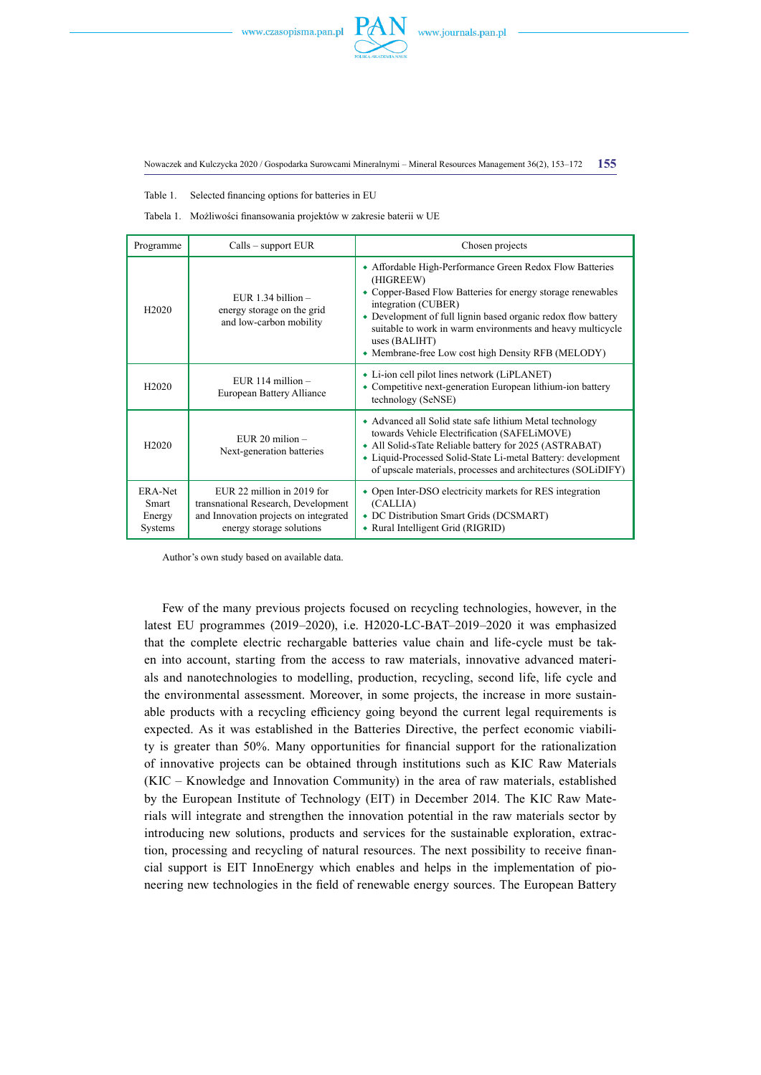



Table 1. Selected financing options for batteries in EU

Tabela 1. Możliwości finansowania projektów w zakresie baterii w UE

| Programme                             | $Calls - support EUR$                                                                                                                  | Chosen projects                                                                                                                                                                                                                                                                                                                                                   |
|---------------------------------------|----------------------------------------------------------------------------------------------------------------------------------------|-------------------------------------------------------------------------------------------------------------------------------------------------------------------------------------------------------------------------------------------------------------------------------------------------------------------------------------------------------------------|
| H <sub>2020</sub>                     | EUR 1.34 billion $-$<br>energy storage on the grid<br>and low-carbon mobility                                                          | • Affordable High-Performance Green Redox Flow Batteries<br>(HIGREEW)<br>• Copper-Based Flow Batteries for energy storage renewables<br>integration (CUBER)<br>• Development of full lignin based organic redox flow battery<br>suitable to work in warm environments and heavy multicycle<br>uses (BALIHT)<br>• Membrane-free Low cost high Density RFB (MELODY) |
| H <sub>2020</sub>                     | EUR $114$ million $-$<br>European Battery Alliance                                                                                     | • Li-ion cell pilot lines network (LiPLANET)<br>• Competitive next-generation European lithium-ion battery<br>technology (SeNSE)                                                                                                                                                                                                                                  |
| H <sub>2</sub> 020                    | EUR $20$ milion $-$<br>Next-generation batteries                                                                                       | • Advanced all Solid state safe lithium Metal technology<br>towards Vehicle Electrification (SAFELiMOVE)<br>• All Solid-sTate Reliable battery for 2025 (ASTRABAT)<br>• Liquid-Processed Solid-State Li-metal Battery: development<br>of upscale materials, processes and architectures (SOLiDIFY)                                                                |
| ERA-Net<br>Smart<br>Energy<br>Systems | EUR 22 million in 2019 for<br>transnational Research, Development<br>and Innovation projects on integrated<br>energy storage solutions | • Open Inter-DSO electricity markets for RES integration<br>(CALLIA)<br>• DC Distribution Smart Grids (DCSMART)<br>• Rural Intelligent Grid (RIGRID)                                                                                                                                                                                                              |

Author's own study based on available data.

Few of the many previous projects focused on recycling technologies, however, in the latest EU programmes (2019–2020), i.e. H2020-LC-BAT–2019–2020 it was emphasized that the complete electric rechargable batteries value chain and life-cycle must be taken into account, starting from the access to raw materials, innovative advanced materials and nanotechnologies to modelling, production, recycling, second life, life cycle and the environmental assessment. Moreover, in some projects, the increase in more sustainable products with a recycling efficiency going beyond the current legal requirements is expected. As it was established in the Batteries Directive, the perfect economic viability is greater than 50%. Many opportunities for financial support for the rationalization of innovative projects can be obtained through institutions such as KIC Raw Materials (KIC – Knowledge and Innovation Community) in the area of raw materials, established by the European Institute of Technology (EIT) in December 2014. The KIC Raw Materials will integrate and strengthen the innovation potential in the raw materials sector by introducing new solutions, products and services for the sustainable exploration, extraction, processing and recycling of natural resources. The next possibility to receive financial support is EIT InnoEnergy which enables and helps in the implementation of pioneering new technologies in the field of renewable energy sources. The European Battery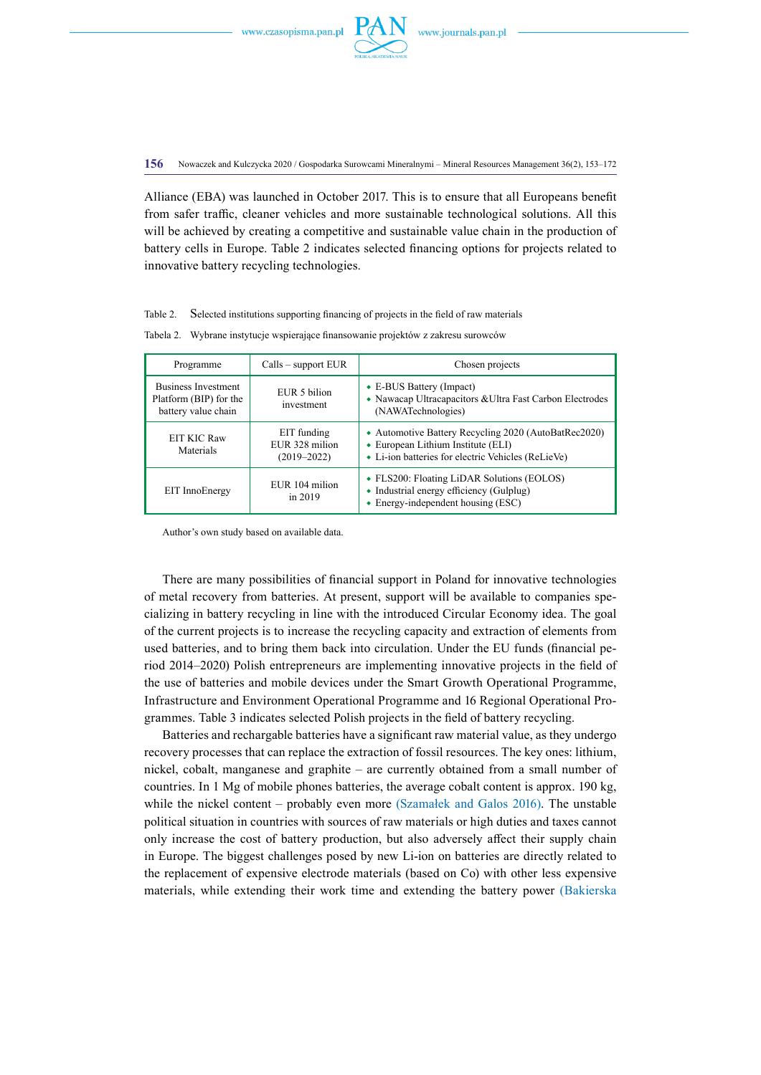

**156** Nowaczek and Kulczycka 2020 / Gospodarka Surowcami Mineralnymi – Mineral Resources Management 36(2), 153–172

Alliance (EBA) was launched in October 2017. This is to ensure that all Europeans benefit from safer traffic, cleaner vehicles and more sustainable technological solutions. All this will be achieved by creating a competitive and sustainable value chain in the production of battery cells in Europe. Table 2 indicates selected financing options for projects related to innovative battery recycling technologies.

#### Table 2. Selected institutions supporting financing of projects in the field of raw materials

| Programme                                                                   | $Calls - support EUR$                            | Chosen projects                                                                                                                                  |  |
|-----------------------------------------------------------------------------|--------------------------------------------------|--------------------------------------------------------------------------------------------------------------------------------------------------|--|
| <b>Business Investment</b><br>Platform (BIP) for the<br>battery value chain | EUR 5 bilion<br>investment                       | $\bullet$ E-BUS Battery (Impact)<br>• Nawacap Ultracapacitors & Ultra Fast Carbon Electrodes<br>(NAWATechnologies)                               |  |
| EIT KIC Raw<br>Materials                                                    | EIT funding<br>EUR 328 milion<br>$(2019 - 2022)$ | • Automotive Battery Recycling 2020 (AutoBatRec2020)<br>• European Lithium Institute (ELI)<br>• Li-ion batteries for electric Vehicles (ReLieVe) |  |
| EIT InnoEnergy                                                              | EUR 104 milion<br>in $2019$                      | • FLS200: Floating LiDAR Solutions (EOLOS)<br>• Industrial energy efficiency (Gulplug)<br>$\bullet$ Energy-independent housing (ESC)             |  |

Tabela 2. Wybrane instytucje wspierające finansowanie projektów z zakresu surowców

Author's own study based on available data.

There are many possibilities of financial support in Poland for innovative technologies of metal recovery from batteries. At present, support will be available to companies specializing in battery recycling in line with the introduced Circular Economy idea. The goal of the current projects is to increase the recycling capacity and extraction of elements from used batteries, and to bring them back into circulation. Under the EU funds (financial period 2014–2020) Polish entrepreneurs are implementing innovative projects in the field of the use of batteries and mobile devices under the [Smart Growth Operational Programme,](https://www.poir.gov.pl/media/6223/EN_POIR_zatwierdzony_przez_KE_23022015.pdf) [Infrastructure and Environment Operational Programme and](https://www.poir.gov.pl/media/6223/EN_POIR_zatwierdzony_przez_KE_23022015.pdf) 16 Regional Operational Programmes. Table 3 indicates selected Polish projects in the field of battery recycling.

Batteries and rechargable batteries have a significant raw material value, as they undergo recovery processes that can replace the extraction of fossil resources. The key ones: lithium, nickel, cobalt, manganese and graphite – are currently obtained from a small number of countries. In 1 Mg of mobile phones batteries, the average cobalt content is approx. 190 kg, while the nickel content – probably even more (Szamałek and Galos 2016). The unstable political situation in countries with sources of raw materials or high duties and taxes cannot only increase the cost of battery production, but also adversely affect their supply chain in Europe. The biggest challenges posed by new Li-ion on batteries are directly related to the replacement of expensive electrode materials (based on Co) with other less expensive materials, while extending their work time and extending the battery power (Bakierska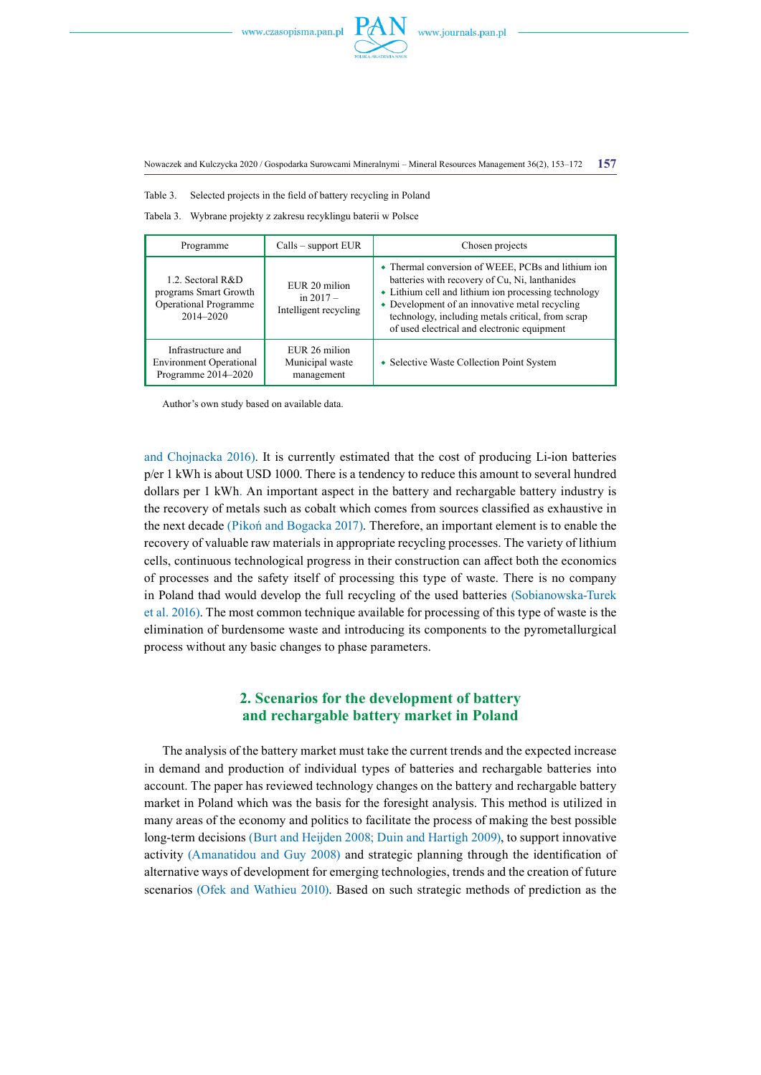

Table 3. Selected projects in the field of battery recycling in Poland

Tabela 3. Wybrane projekty z zakresu recyklingu baterii w Polsce

| Programme                                                                               | $Calls - support EUR$                                 | Chosen projects                                                                                                                                                                                                                                                                                                    |  |
|-----------------------------------------------------------------------------------------|-------------------------------------------------------|--------------------------------------------------------------------------------------------------------------------------------------------------------------------------------------------------------------------------------------------------------------------------------------------------------------------|--|
| 1.2. Sectoral R&D<br>programs Smart Growth<br><b>Operational Programme</b><br>2014-2020 | EUR 20 milion<br>in $2017 -$<br>Intelligent recycling | • Thermal conversion of WEEE, PCBs and lithium ion<br>batteries with recovery of Cu, Ni, lanthanides<br>• Lithium cell and lithium ion processing technology<br>• Development of an innovative metal recycling<br>technology, including metals critical, from scrap<br>of used electrical and electronic equipment |  |
| Infrastructure and<br><b>Environment Operational</b><br>Programme 2014-2020             | EUR 26 milion<br>Municipal waste<br>management        | • Selective Waste Collection Point System                                                                                                                                                                                                                                                                          |  |

Author's own study based on available data.

and Chojnacka 2016). It is currently estimated that the cost of producing Li-ion batteries p/er 1 kWh is about USD 1000. There is a tendency to reduce this amount to several hundred dollars per 1 kWh. An important aspect in the battery and rechargable battery industry is the recovery of metals such as cobalt which comes from sources classified as exhaustive in the next decade (Pikoń and Bogacka 2017). Therefore, an important element is to enable the recovery of valuable raw materials in appropriate recycling processes. The variety of lithium cells, continuous technological progress in their construction can affect both the economics of processes and the safety itself of processing this type of waste. There is no company in Poland thad would develop the full recycling of the used batteries (Sobianowska-Turek et al. 2016). The most common technique available for processing of this type of waste is the elimination of burdensome waste and introducing its components to the pyrometallurgical process without any basic changes to phase parameters.

# **2. Scenarios for the development of battery and rechargable battery market in Poland**

The analysis of the battery market must take the current trends and the expected increase in demand and production of individual types of batteries and rechargable batteries into account. The paper has reviewed technology changes on the battery and rechargable battery market in Poland which was the basis for the foresight analysis. This method is utilized in many areas of the economy and politics to facilitate the process of making the best possible long-term decisions (Burt and Heijden 2008; Duin and Hartigh 2009), to support innovative activity (Amanatidou and Guy 2008) and strategic planning through the identification of alternative ways of development for emerging technologies, trends and the creation of future scenarios (Ofek and Wathieu 2010). Based on such strategic methods of prediction as the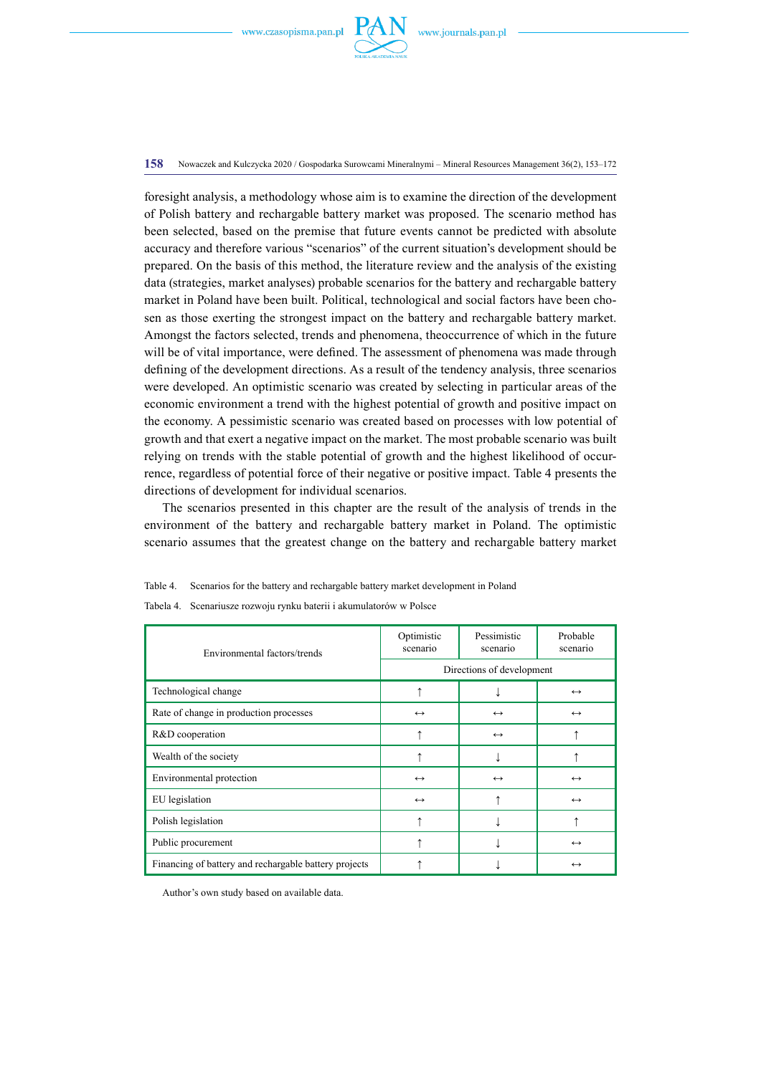

**158** Nowaczek and Kulczycka 2020 / Gospodarka Surowcami Mineralnymi – Mineral Resources Management 36(2), 153–172

foresight analysis, a methodology whose aim is to examine the direction of the development of Polish battery and rechargable battery market was proposed. The scenario method has been selected, based on the premise that future events cannot be predicted with absolute accuracy and therefore various "scenarios" of the current situation's development should be prepared. On the basis of this method, the literature review and the analysis of the existing data (strategies, market analyses) probable scenarios for the battery and rechargable battery market in Poland have been built. Political, technological and social factors have been chosen as those exerting the strongest impact on the battery and rechargable battery market. Amongst the factors selected, trends and phenomena, theoccurrence of which in the future will be of vital importance, were defined. The assessment of phenomena was made through defining of the development directions. As a result of the tendency analysis, three scenarios were developed. An optimistic scenario was created by selecting in particular areas of the economic environment a trend with the highest potential of growth and positive impact on the economy. A pessimistic scenario was created based on processes with low potential of growth and that exert a negative impact on the market. The most probable scenario was built relying on trends with the stable potential of growth and the highest likelihood of occurrence, regardless of potential force of their negative or positive impact. Table 4 presents the directions of development for individual scenarios.

The scenarios presented in this chapter are the result of the analysis of trends in the environment of the battery and rechargable battery market in Poland. The optimistic scenario assumes that the greatest change on the battery and rechargable battery market

| Environmental factors/trends                          | Optimistic<br>scenario    | Pessimistic<br>scenario | Probable<br>scenario |  |
|-------------------------------------------------------|---------------------------|-------------------------|----------------------|--|
|                                                       | Directions of development |                         |                      |  |
| Technological change                                  |                           |                         | $\leftrightarrow$    |  |
| Rate of change in production processes                | $\leftrightarrow$         | $\leftrightarrow$       | $\leftrightarrow$    |  |
| R&D cooperation                                       |                           | $\leftrightarrow$       |                      |  |
| Wealth of the society                                 |                           |                         |                      |  |
| Environmental protection                              | $\leftrightarrow$         | $\leftrightarrow$       | $\leftrightarrow$    |  |
| EU legislation                                        | $\leftrightarrow$         |                         | $\leftrightarrow$    |  |
| Polish legislation                                    |                           |                         |                      |  |
| Public procurement                                    |                           |                         | $\leftrightarrow$    |  |
| Financing of battery and rechargable battery projects |                           |                         | $\leftrightarrow$    |  |

Tabela 4. Scenariusze rozwoju rynku baterii i akumulatorów w Polsce

Table 4. Scenarios for the battery and rechargable battery market development in Poland

Author's own study based on available data.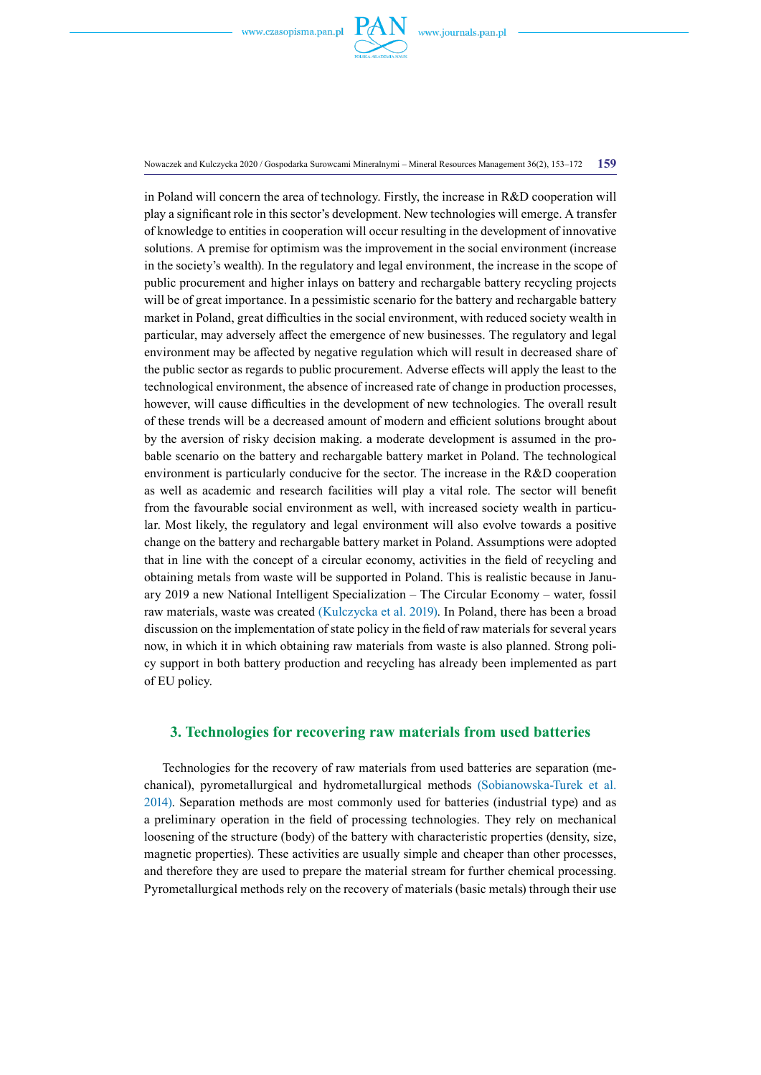

Nowaczek and Kulczycka 2020 / Gospodarka Surowcami Mineralnymi – Mineral Resources Management 36(2), 153–172 **159**

in Poland will concern the area of technology. Firstly, the increase in R&D cooperation will play a significant role in this sector's development. New technologies will emerge. A transfer of knowledge to entities in cooperation will occur resulting in the development of innovative solutions. A premise for optimism was the improvement in the social environment (increase in the society's wealth). In the regulatory and legal environment, the increase in the scope of public procurement and higher inlays on battery and rechargable battery recycling projects will be of great importance. In a pessimistic scenario for the battery and rechargable battery market in Poland, great difficulties in the social environment, with reduced society wealth in particular, may adversely affect the emergence of new businesses. The regulatory and legal environment may be affected by negative regulation which will result in decreased share of the public sector as regards to public procurement. Adverse effects will apply the least to the technological environment, the absence of increased rate of change in production processes, however, will cause difficulties in the development of new technologies. The overall result of these trends will be a decreased amount of modern and efficient solutions brought about by the aversion of risky decision making. a moderate development is assumed in the probable scenario on the battery and rechargable battery market in Poland. The technological environment is particularly conducive for the sector. The increase in the R&D cooperation as well as academic and research facilities will play a vital role. The sector will benefit from the favourable social environment as well, with increased society wealth in particular. Most likely, the regulatory and legal environment will also evolve towards a positive change on the battery and rechargable battery market in Poland. Assumptions were adopted that in line with the concept of a circular economy, activities in the field of recycling and obtaining metals from waste will be supported in Poland. This is realistic because in January 2019 a new National Intelligent Specialization – The Circular Economy – water, fossil raw materials, waste was created (Kulczycka et al. 2019). In Poland, there has been a broad discussion on the implementation of state policy in the field of raw materials for several years now, in which it in which obtaining raw materials from waste is also planned. Strong policy support in both battery production and recycling has already been implemented as part of EU policy.

# **3. Technologies for recovering raw materials from used batteries**

Technologies for the recovery of raw materials from used batteries are separation (mechanical), pyrometallurgical and hydrometallurgical methods (Sobianowska-Turek et al. 2014). Separation methods are most commonly used for batteries (industrial type) and as a preliminary operation in the field of processing technologies. They rely on mechanical loosening of the structure (body) of the battery with characteristic properties (density, size, magnetic properties). These activities are usually simple and cheaper than other processes, and therefore they are used to prepare the material stream for further chemical processing. Pyrometallurgical methods rely on the recovery of materials (basic metals) through their use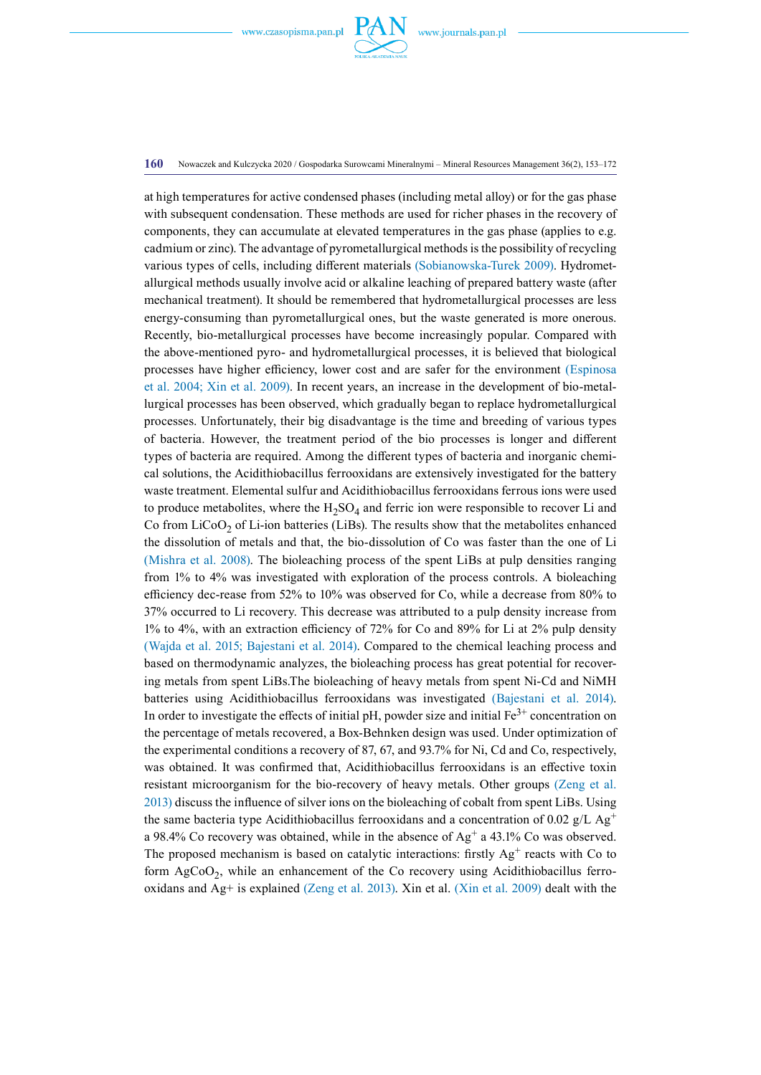

#### **160** Nowaczek and Kulczycka 2020 / Gospodarka Surowcami Mineralnymi – Mineral Resources Management 36(2), 153–172

at high temperatures for active condensed phases (including metal alloy) or for the gas phase with subsequent condensation. These methods are used for richer phases in the recovery of components, they can accumulate at elevated temperatures in the gas phase (applies to e.g. cadmium or zinc). The advantage of pyrometallurgical methods is the possibility of recycling various types of cells, including different materials (Sobianowska-Turek 2009). Hydrometallurgical methods usually involve acid or alkaline leaching of prepared battery waste (after mechanical treatment). It should be remembered that hydrometallurgical processes are less energy-consuming than pyrometallurgical ones, but the waste generated is more onerous. Recently, bio-metallurgical processes have become increasingly popular. Compared with the above-mentioned pyro- and hydrometallurgical processes, it is believed that biological processes have higher efficiency, lower cost and are safer for the environment (Espinosa et al. 2004; Xin et al. 2009). In recent years, an increase in the development of bio-metallurgical processes has been observed, which gradually began to replace hydrometallurgical processes. Unfortunately, their big disadvantage is the time and breeding of various types of bacteria. However, the treatment period of the bio processes is longer and different types of bacteria are required. Among the different types of bacteria and inorganic chemical solutions, the Acidithiobacillus ferrooxidans are extensively investigated for the battery waste treatment. Elemental sulfur and Acidithiobacillus ferrooxidans ferrous ions were used to produce metabolites, where the  $H_2SO_4$  and ferric ion were responsible to recover Li and Co from  $LiCoO<sub>2</sub>$  of Li-ion batteries (LiBs). The results show that the metabolites enhanced the dissolution of metals and that, the bio-dissolution of Co was faster than the one of Li (Mishra et al. 2008). The bioleaching process of the spent LiBs at pulp densities ranging from 1% to 4% was investigated with exploration of the process controls. A bioleaching efficiency dec-rease from 52% to 10% was observed for Co, while a decrease from 80% to 37% occurred to Li recovery. This decrease was attributed to a pulp density increase from 1% to 4%, with an extraction efficiency of 72% for Co and 89% for Li at 2% pulp density (Wajda et al. 2015; Bajestani et al. 2014). Compared to the chemical leaching process and based on thermodynamic analyzes, the bioleaching process has great potential for recovering metals from spent LiBs.The bioleaching of heavy metals from spent Ni-Cd and NiMH batteries using Acidithiobacillus ferrooxidans was investigated (Bajestani et al. 2014). In order to investigate the effects of initial pH, powder size and initial  $Fe<sup>3+</sup>$  concentration on the percentage of metals recovered, a Box-Behnken design was used. Under optimization of the experimental conditions a recovery of 87, 67, and 93.7% for Ni, Cd and Co, respectively, was obtained. It was confirmed that, Acidithiobacillus ferrooxidans is an effective toxin resistant microorganism for the bio-recovery of heavy metals. Other groups (Zeng et al. 2013) discuss the influence of silver ions on the bioleaching of cobalt from spent LiBs. Using the same bacteria type Acidithiobacillus ferrooxidans and a concentration of 0.02 g/L  $Ag<sup>+</sup>$ a 98.4% Co recovery was obtained, while in the absence of  $Ag<sup>+</sup> a 43.1%$  Co was observed. The proposed mechanism is based on catalytic interactions: firstly  $Ag<sup>+</sup>$  reacts with Co to form  $AgCoO<sub>2</sub>$ , while an enhancement of the Co recovery using Acidithiobacillus ferrooxidans and Ag+ is explained (Zeng et al. 2013). Xin et al. (Xin et al. 2009) dealt with the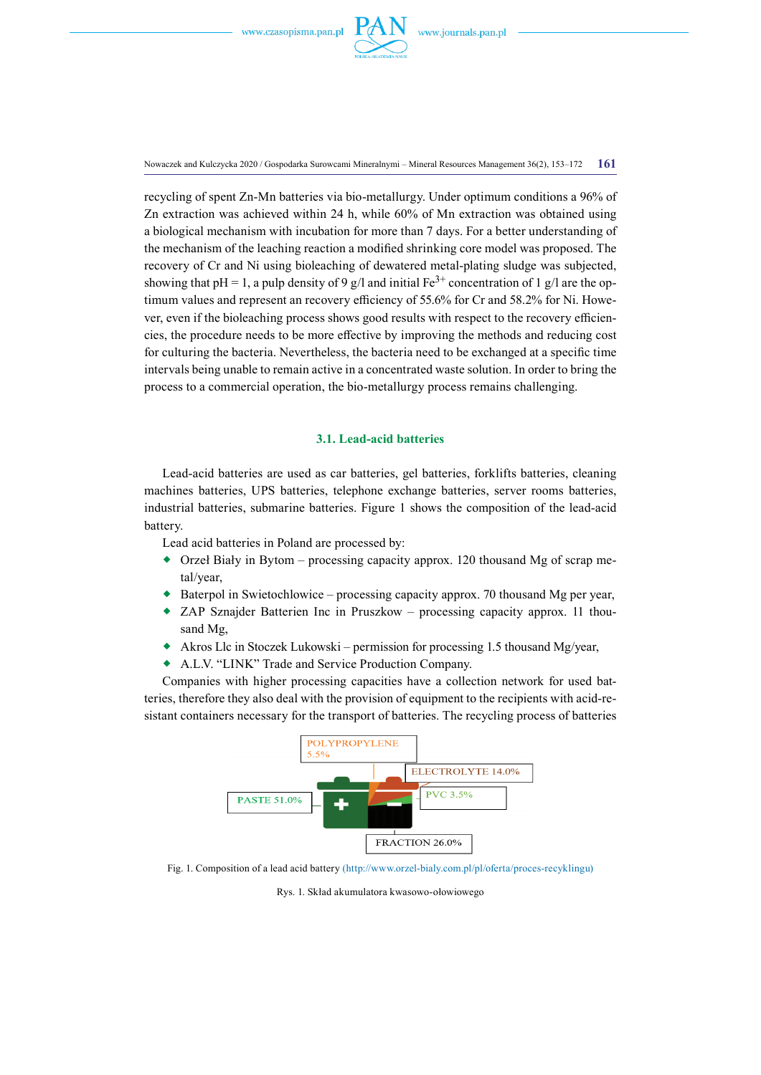

Nowaczek and Kulczycka 2020 / Gospodarka Surowcami Mineralnymi – Mineral Resources Management 36(2), 153–172 **161**

recycling of spent Zn-Mn batteries via bio-metallurgy. Under optimum conditions a 96% of Zn extraction was achieved within 24 h, while 60% of Mn extraction was obtained using a biological mechanism with incubation for more than 7 days. For a better understanding of the mechanism of the leaching reaction a modified shrinking core model was proposed. The recovery of Cr and Ni using bioleaching of dewatered metal-plating sludge was subjected, showing that pH = 1, a pulp density of 9 g/l and initial Fe<sup>3+</sup> concentration of 1 g/l are the optimum values and represent an recovery efficiency of 55.6% for Cr and 58.2% for Ni. However, even if the bioleaching process shows good results with respect to the recovery efficiencies, the procedure needs to be more effective by improving the methods and reducing cost for culturing the bacteria. Nevertheless, the bacteria need to be exchanged at a specific time intervals being unable to remain active in a concentrated waste solution. In order to bring the process to a commercial operation, the bio-metallurgy process remains challenging.

# **3.1. Lead-acid batteries**

Lead-acid batteries are used as car batteries, gel batteries, forklifts batteries, cleaning machines batteries, UPS batteries, telephone exchange batteries, server rooms batteries, industrial batteries, submarine batteries. Figure 1 shows the composition of the lead-acid battery.

Lead acid batteries in Poland are processed by:

- $\bullet$  Orzeł Biały in Bytom processing capacity approx. 120 thousand Mg of scrap metal/year,
- $\bullet$  Baterpol in Swietochlowice processing capacity approx. 70 thousand Mg per year,
- [ZAP Sznajder Batterien Inc](https://bdo.mos.gov.pl/web/rejestr-publiczny/podmiot/24994/szczegoly) in Pruszkow processing capacity approx. 11 thousand Mg,
- Akros Llc in Stoczek Lukowski permission for processing 1.5 thousand Mg/year,
- A.L.V. "LINK" Trade and Service Production Company.

Companies with higher processing capacities have a collection network for used batteries, therefore they also deal with the provision of equipment to the recipients with acid-resistant containers necessary for the transport of batteries. The recycling process of batteries



Fig. 1. Composition of a lead acid battery (http://www.orzel-bialy.com.pl/pl/oferta/proces-recyklingu)

Rys. 1. Skład akumulatora kwasowo-ołowiowego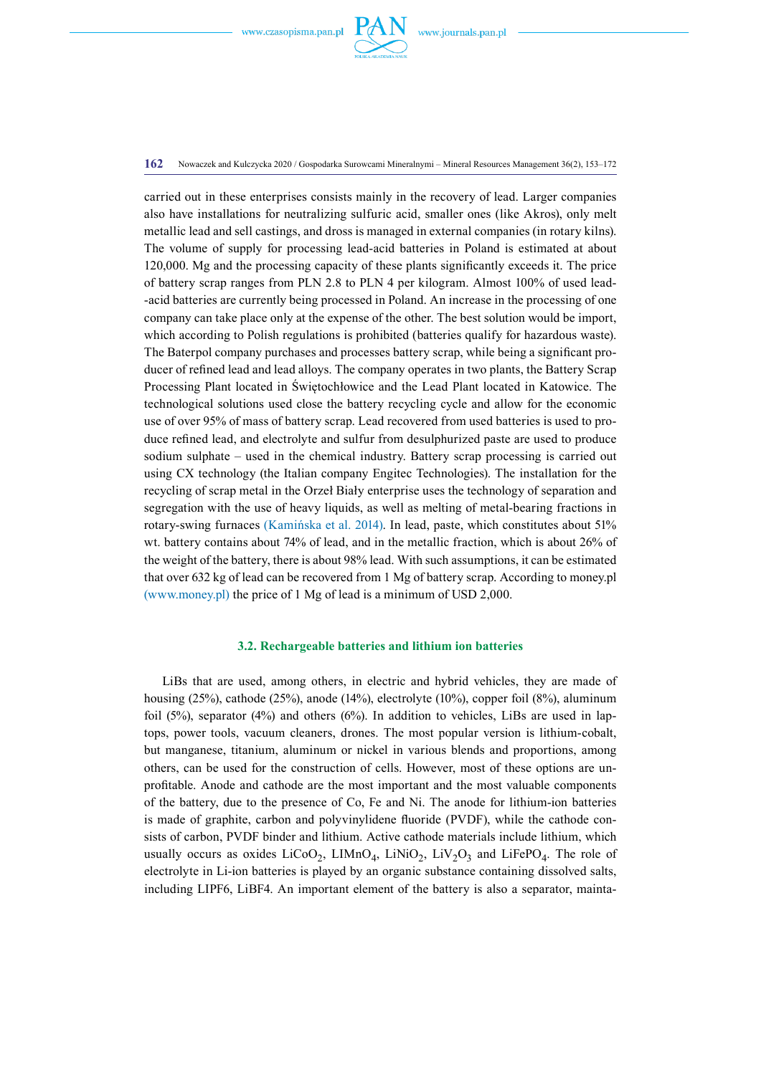

#### **162** Nowaczek and Kulczycka 2020 / Gospodarka Surowcami Mineralnymi – Mineral Resources Management 36(2), 153–172

carried out in these enterprises consists mainly in the recovery of lead. Larger companies also have installations for neutralizing sulfuric acid, smaller ones (like Akros), only melt metallic lead and sell castings, and dross is managed in external companies (in rotary kilns). The volume of supply for processing lead-acid batteries in Poland is estimated at about 120,000. Mg and the processing capacity of these plants significantly exceeds it. The price of battery scrap ranges from PLN 2.8 to PLN 4 per kilogram. Almost 100% of used lead- -acid batteries are currently being processed in Poland. An increase in the processing of one company can take place only at the expense of the other. The best solution would be import, which according to Polish regulations is prohibited (batteries qualify for hazardous waste). The Baterpol company purchases and processes battery scrap, while being a significant producer of refined lead and lead alloys. The company operates in two plants, the Battery Scrap Processing Plant located in Świętochłowice and the Lead Plant located in Katowice. The technological solutions used close the battery recycling cycle and allow for the economic use of over 95% of mass of battery scrap. Lead recovered from used batteries is used to produce refined lead, and electrolyte and sulfur from desulphurized paste are used to produce sodium sulphate – used in the chemical industry. Battery scrap processing is carried out using CX technology (the Italian company Engitec Technologies). The installation for the recycling of scrap metal in the Orzeł Biały enterprise uses the technology of separation and segregation with the use of heavy liquids, as well as melting of metal-bearing fractions in rotary-swing furnaces (Kamińska et al. 2014). In lead, paste, which constitutes about 51% wt. battery contains about 74% of lead, and in the metallic fraction, which is about 26% of the weight of the battery, there is about 98% lead. With such assumptions, it can be estimated that over 632 kg of lead can be recovered from 1 Mg of battery scrap. According to money.pl (www.money.pl) the price of 1 Mg of lead is a minimum of USD 2,000.

## **3.2. Rechargeable batteries and lithium ion batteries**

LiBs that are used, among others, in electric and hybrid vehicles, they are made of housing (25%), cathode (25%), anode (14%), electrolyte (10%), copper foil (8%), aluminum foil (5%), separator (4%) and others (6%). In addition to vehicles, LiBs are used in laptops, power tools, vacuum cleaners, drones. The most popular version is lithium-cobalt, but manganese, titanium, aluminum or nickel in various blends and proportions, among others, can be used for the construction of cells. However, most of these options are unprofitable. Anode and cathode are the most important and the most valuable components of the battery, due to the presence of Co, Fe and Ni. The anode for lithium-ion batteries is made of graphite, carbon and polyvinylidene fluoride (PVDF), while the cathode consists of carbon, PVDF binder and lithium. Active cathode materials include lithium, which usually occurs as oxides  $LiCoO<sub>2</sub>$ ,  $LIMnO<sub>4</sub>$ ,  $LiNiO<sub>2</sub>$ ,  $LiV<sub>2</sub>O<sub>3</sub>$  and  $LiFePO<sub>4</sub>$ . The role of electrolyte in Li-ion batteries is played by an organic substance containing dissolved salts, including LIPF6, LiBF4. An important element of the battery is also a separator, mainta-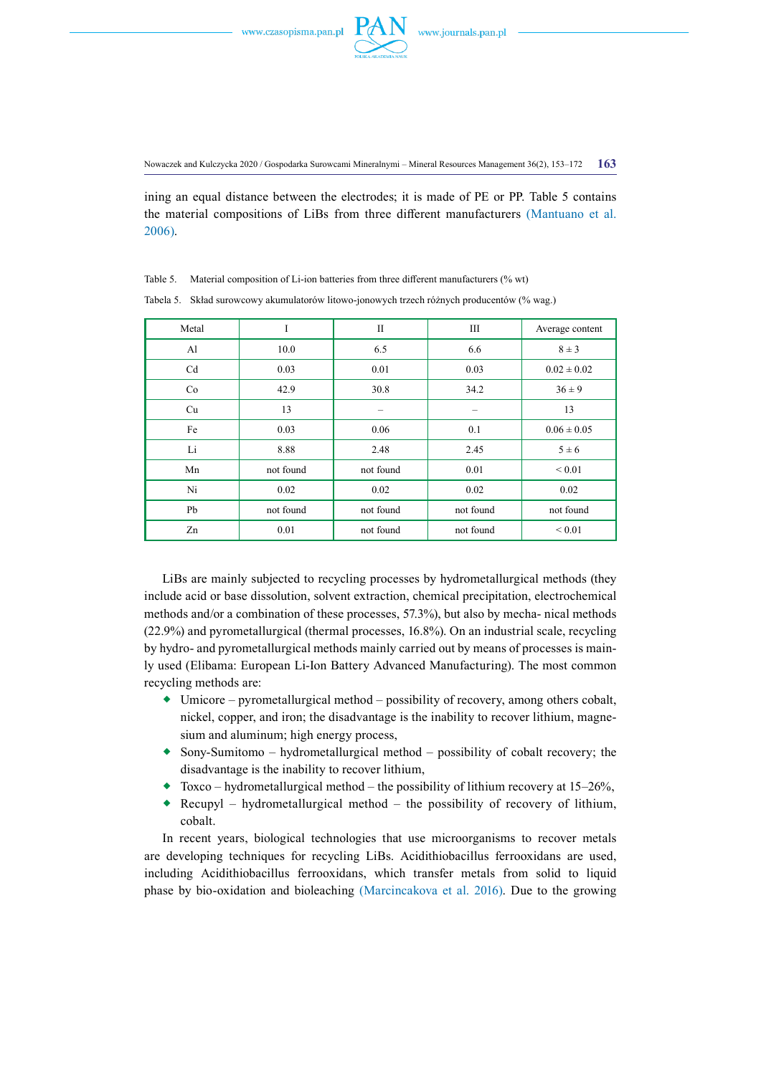

ining an equal distance between the electrodes; it is made of PE or PP. Table 5 contains the material compositions of LiBs from three different manufacturers (Mantuano et al. 2006).

| Tabela 5. Skład surowcowy akumulatorów litowo-jonowych trzech różnych producentów (% wag.) |           |           |           |                 |
|--------------------------------------------------------------------------------------------|-----------|-----------|-----------|-----------------|
| Metal                                                                                      | I         | $\rm II$  | Ш         | Average content |
| Al                                                                                         | 10.0      | 6.5       | 6.6       | $8 \pm 3$       |
| Cd                                                                                         | 0.03      | 0.01      | 0.03      | $0.02 \pm 0.02$ |
| Co                                                                                         | 42.9      | 30.8      | 34.2      | $36 \pm 9$      |
| Cu                                                                                         | 13        |           |           | 13              |
| Fe                                                                                         | 0.03      | 0.06      | 0.1       | $0.06 \pm 0.05$ |
| Li                                                                                         | 8.88      | 2.48      | 2.45      | $5 \pm 6$       |
| Mn                                                                                         | not found | not found | 0.01      | ${}_{0.01}$     |
| Ni                                                                                         | 0.02      | 0.02      | 0.02      | 0.02            |
| Pb                                                                                         | not found | not found | not found | not found       |
| Zn                                                                                         | 0.01      | not found | not found | ${}_{0.01}$     |

Table 5. Material composition of Li-ion batteries from three different manufacturers (% wt)

LiBs are mainly subjected to recycling processes by hydrometallurgical methods (they include acid or base dissolution, solvent extraction, chemical precipitation, electrochemical methods and/or a combination of these processes, 57.3%), but also by mecha- nical methods (22.9%) and pyrometallurgical (thermal processes, 16.8%). On an industrial scale, recycling by hydro- and pyrometallurgical methods mainly carried out by means of processes is mainly used (Elibama: European Li-Ion Battery Advanced Manufacturing). The most common recycling methods are:

- Umicore pyrometallurgical method possibility of recovery, among others cobalt, nickel, copper, and iron; the disadvantage is the inability to recover lithium, magnesium and aluminum; high energy process,
- $\bullet$  Sony-Sumitomo hydrometallurgical method possibility of cobalt recovery; the disadvantage is the inability to recover lithium,
- $\bullet$  Toxco hydrometallurgical method the possibility of lithium recovery at 15–26%,
- Recupyl hydrometallurgical method the possibility of recovery of lithium, cobalt.

In recent years, biological technologies that use microorganisms to recover metals are developing techniques for recycling LiBs. Acidithiobacillus ferrooxidans are used, including Acidithiobacillus ferrooxidans, which transfer metals from solid to liquid phase by bio-oxidation and bioleaching (Marcincakova et al. 2016). Due to the growing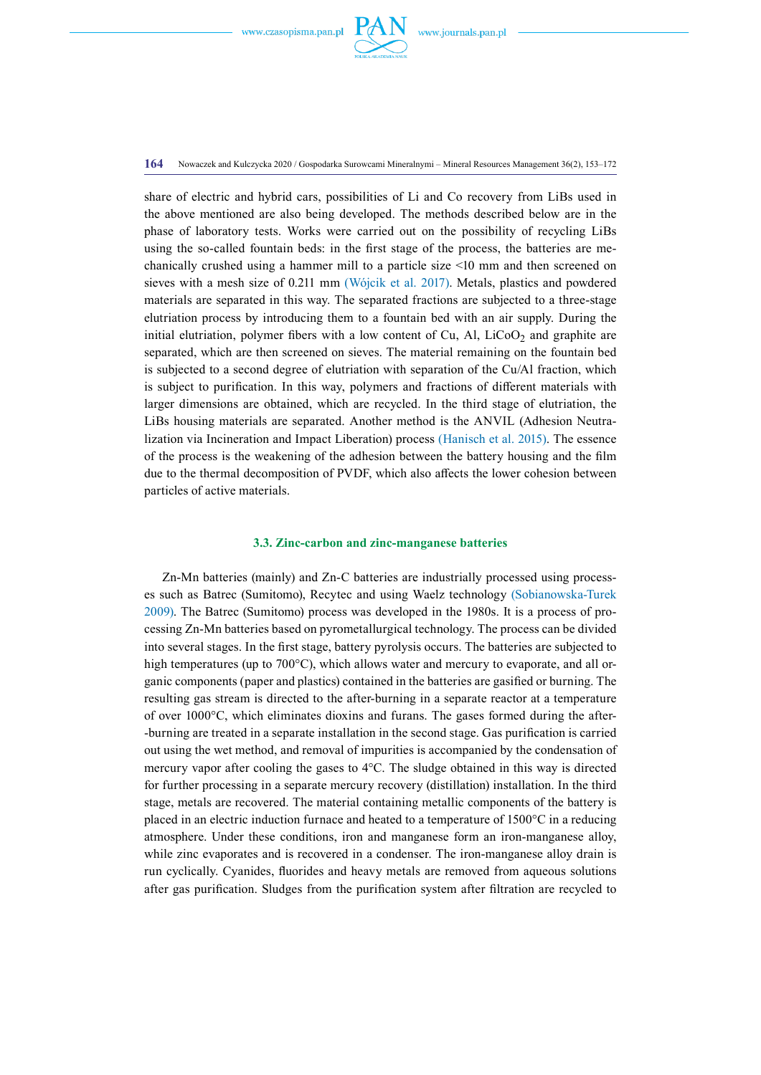

**164** Nowaczek and Kulczycka 2020 / Gospodarka Surowcami Mineralnymi – Mineral Resources Management 36(2), 153–172

share of electric and hybrid cars, possibilities of Li and Co recovery from LiBs used in the above mentioned are also being developed. The methods described below are in the phase of laboratory tests. Works were carried out on the possibility of recycling LiBs using the so-called fountain beds: in the first stage of the process, the batteries are mechanically crushed using a hammer mill to a particle size <10 mm and then screened on sieves with a mesh size of 0.211 mm (Wójcik et al. 2017). Metals, plastics and powdered materials are separated in this way. The separated fractions are subjected to a three-stage elutriation process by introducing them to a fountain bed with an air supply. During the initial elutriation, polymer fibers with a low content of Cu, Al,  $LiCoO<sub>2</sub>$  and graphite are separated, which are then screened on sieves. The material remaining on the fountain bed is subjected to a second degree of elutriation with separation of the Cu/Al fraction, which is subject to purification. In this way, polymers and fractions of different materials with larger dimensions are obtained, which are recycled. In the third stage of elutriation, the LiBs housing materials are separated. Another method is the ANVIL (Adhesion Neutralization via Incineration and Impact Liberation) process (Hanisch et al. 2015). The essence of the process is the weakening of the adhesion between the battery housing and the film due to the thermal decomposition of PVDF, which also affects the lower cohesion between particles of active materials.

## **3.3. Zinc-carbon and zinc-manganese batteries**

Zn-Mn batteries (mainly) and Zn-C batteries are industrially processed using processes such as Batrec (Sumitomo), Recytec and using Waelz technology (Sobianowska-Turek 2009). The Batrec (Sumitomo) process was developed in the 1980s. It is a process of processing Zn-Mn batteries based on pyrometallurgical technology. The process can be divided into several stages. In the first stage, battery pyrolysis occurs. The batteries are subjected to high temperatures (up to 700°C), which allows water and mercury to evaporate, and all organic components (paper and plastics) contained in the batteries are gasified or burning. The resulting gas stream is directed to the after-burning in a separate reactor at a temperature of over 1000°C, which eliminates dioxins and furans. The gases formed during the after- -burning are treated in a separate installation in the second stage. Gas purification is carried out using the wet method, and removal of impurities is accompanied by the condensation of mercury vapor after cooling the gases to 4°C. The sludge obtained in this way is directed for further processing in a separate mercury recovery (distillation) installation. In the third stage, metals are recovered. The material containing metallic components of the battery is placed in an electric induction furnace and heated to a temperature of 1500°C in a reducing atmosphere. Under these conditions, iron and manganese form an iron-manganese alloy, while zinc evaporates and is recovered in a condenser. The iron-manganese alloy drain is run cyclically. Cyanides, fluorides and heavy metals are removed from aqueous solutions after gas purification. Sludges from the purification system after filtration are recycled to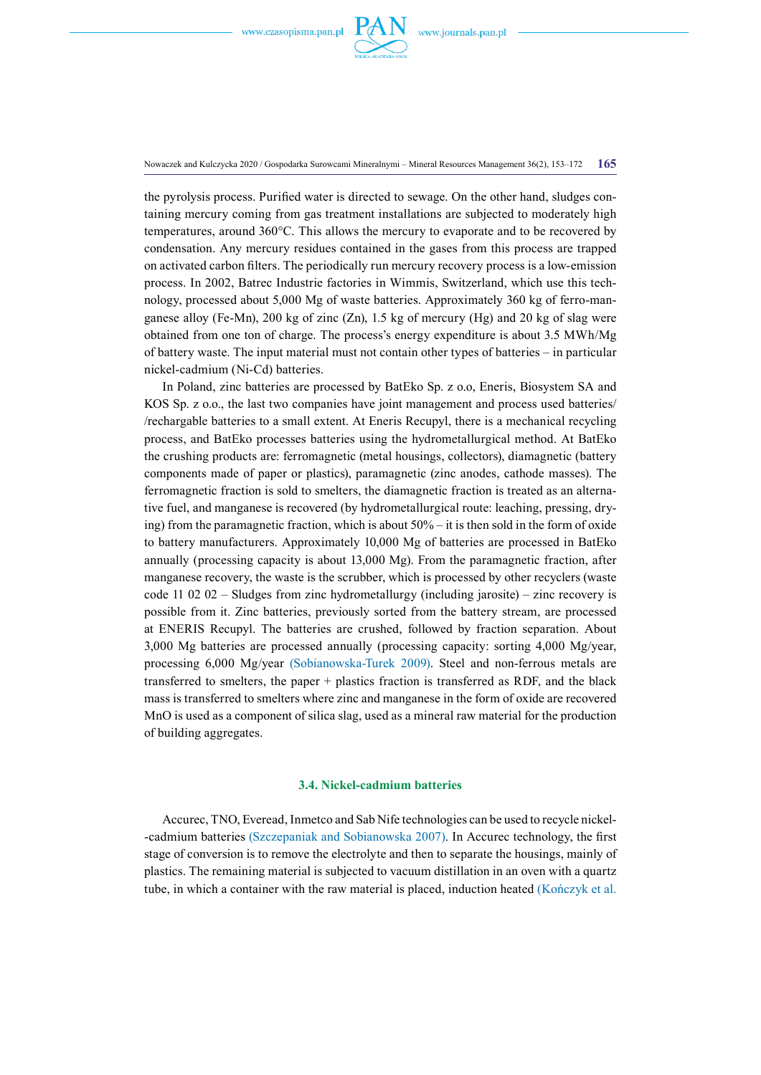

Nowaczek and Kulczycka 2020 / Gospodarka Surowcami Mineralnymi – Mineral Resources Management 36(2), 153–172 **165**

the pyrolysis process. Purified water is directed to sewage. On the other hand, sludges containing mercury coming from gas treatment installations are subjected to moderately high temperatures, around 360°C. This allows the mercury to evaporate and to be recovered by condensation. Any mercury residues contained in the gases from this process are trapped on activated carbon filters. The periodically run mercury recovery process is a low-emission process. In 2002, Batrec Industrie factories in Wimmis, Switzerland, which use this technology, processed about 5,000 Mg of waste batteries. Approximately 360 kg of ferro-manganese alloy (Fe-Mn), 200 kg of zinc  $(Zn)$ , 1.5 kg of mercury (Hg) and 20 kg of slag were obtained from one ton of charge. The process's energy expenditure is about 3.5 MWh/Mg of battery waste. The input material must not contain other types of batteries – in particular nickel-cadmium (Ni-Cd) batteries.

In Poland, zinc batteries are processed by BatEko Sp. z o.o, Eneris, Biosystem SA and KOS Sp. z o.o., the last two companies have joint management and process used batteries/ /rechargable batteries to a small extent. At Eneris Recupyl, there is a mechanical recycling process, and BatEko processes batteries using the hydrometallurgical method. At BatEko the crushing products are: ferromagnetic (metal housings, collectors), diamagnetic (battery components made of paper or plastics), paramagnetic (zinc anodes, cathode masses). The ferromagnetic fraction is sold to smelters, the diamagnetic fraction is treated as an alternative fuel, and manganese is recovered (by hydrometallurgical route: leaching, pressing, drying) from the paramagnetic fraction, which is about  $50\% -$  it is then sold in the form of oxide to battery manufacturers. Approximately 10,000 Mg of batteries are processed in BatEko annually (processing capacity is about 13,000 Mg). From the paramagnetic fraction, after manganese recovery, the waste is the scrubber, which is processed by other recyclers (waste code 11 02 02 – Sludges from zinc hydrometallurgy (including jarosite) – zinc recovery is possible from it. Zinc batteries, previously sorted from the battery stream, are processed at ENERIS Recupyl. The batteries are crushed, followed by fraction separation. About 3,000 Mg batteries are processed annually (processing capacity: sorting 4,000 Mg/year, processing 6,000 Mg/year (Sobianowska-Turek 2009). Steel and non-ferrous metals are transferred to smelters, the paper + plastics fraction is transferred as RDF, and the black mass is transferred to smelters where zinc and manganese in the form of oxide are recovered MnO is used as a component of silica slag, used as a mineral raw material for the production of building aggregates.

## **3.4. Nickel-cadmium batteries**

Accurec, TNO, Everead, Inmetco and Sab Nife technologies can be used to recycle nickel- -cadmium batteries (Szczepaniak and Sobianowska 2007). In Accurec technology, the first stage of conversion is to remove the electrolyte and then to separate the housings, mainly of plastics. The remaining material is subjected to vacuum distillation in an oven with a quartz tube, in which a container with the raw material is placed, induction heated (Kończyk et al.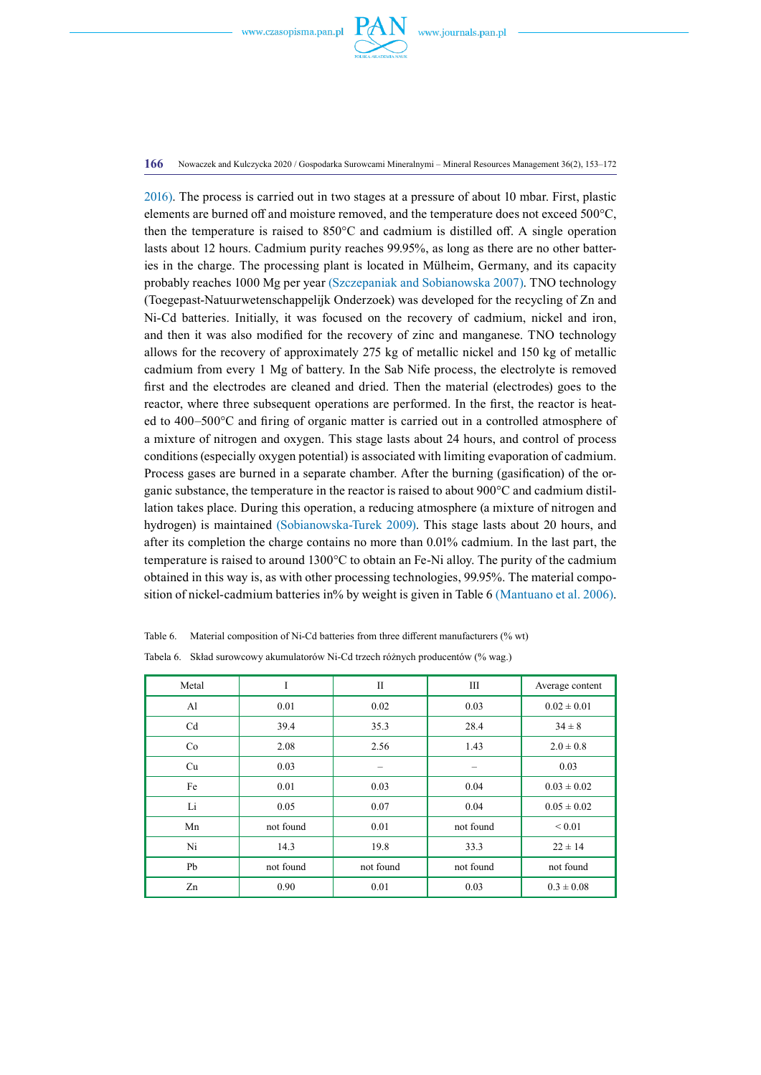

#### **166** Nowaczek and Kulczycka 2020 / Gospodarka Surowcami Mineralnymi – Mineral Resources Management 36(2), 153–172

2016). The process is carried out in two stages at a pressure of about 10 mbar. First, plastic elements are burned off and moisture removed, and the temperature does not exceed 500°C, then the temperature is raised to 850°C and cadmium is distilled off. A single operation lasts about 12 hours. Cadmium purity reaches 99.95%, as long as there are no other batteries in the charge. The processing plant is located in Mülheim, Germany, and its capacity probably reaches 1000 Mg per year (Szczepaniak and Sobianowska 2007). TNO technology (Toegepast-Natuurwetenschappelijk Onderzoek) was developed for the recycling of Zn and Ni-Cd batteries. Initially, it was focused on the recovery of cadmium, nickel and iron, and then it was also modified for the recovery of zinc and manganese. TNO technology allows for the recovery of approximately 275 kg of metallic nickel and 150 kg of metallic cadmium from every 1 Mg of battery. In the Sab Nife process, the electrolyte is removed first and the electrodes are cleaned and dried. Then the material (electrodes) goes to the reactor, where three subsequent operations are performed. In the first, the reactor is heated to 400–500°C and firing of organic matter is carried out in a controlled atmosphere of a mixture of nitrogen and oxygen. This stage lasts about 24 hours, and control of process conditions (especially oxygen potential) is associated with limiting evaporation of cadmium. Process gases are burned in a separate chamber. After the burning (gasification) of the organic substance, the temperature in the reactor is raised to about 900°C and cadmium distillation takes place. During this operation, a reducing atmosphere (a mixture of nitrogen and hydrogen) is maintained (Sobianowska-Turek 2009). This stage lasts about 20 hours, and after its completion the charge contains no more than 0.01% cadmium. In the last part, the temperature is raised to around 1300°C to obtain an Fe-Ni alloy. The purity of the cadmium obtained in this way is, as with other processing technologies, 99.95%. The material composition of nickel-cadmium batteries in% by weight is given in Table 6 (Mantuano et al. 2006).

Table 6. Material composition of Ni-Cd batteries from three different manufacturers (% wt)

| Tabela 6. Skład surowcowy akumulatorów Ni-Cd trzech różnych producentów (% wag.) |  |  |
|----------------------------------------------------------------------------------|--|--|
|----------------------------------------------------------------------------------|--|--|

| Metal          | I         | $\mathbf{I}$ | Ш         | Average content |
|----------------|-----------|--------------|-----------|-----------------|
| A <sub>1</sub> | 0.01      | 0.02         | 0.03      | $0.02 \pm 0.01$ |
| Cd             | 39.4      | 35.3         | 28.4      | $34 \pm 8$      |
| Co             | 2.08      | 2.56         | 1.43      | $2.0 \pm 0.8$   |
| Cu             | 0.03      |              |           | 0.03            |
| Fe             | 0.01      | 0.03         | 0.04      | $0.03 \pm 0.02$ |
| Li             | 0.05      | 0.07         | 0.04      | $0.05 \pm 0.02$ |
| Mn             | not found | 0.01         | not found | ${}_{0.01}$     |
| Ni             | 14.3      | 19.8         | 33.3      | $22 \pm 14$     |
| Pb             | not found | not found    | not found | not found       |
| Zn             | 0.90      | 0.01         | 0.03      | $0.3 \pm 0.08$  |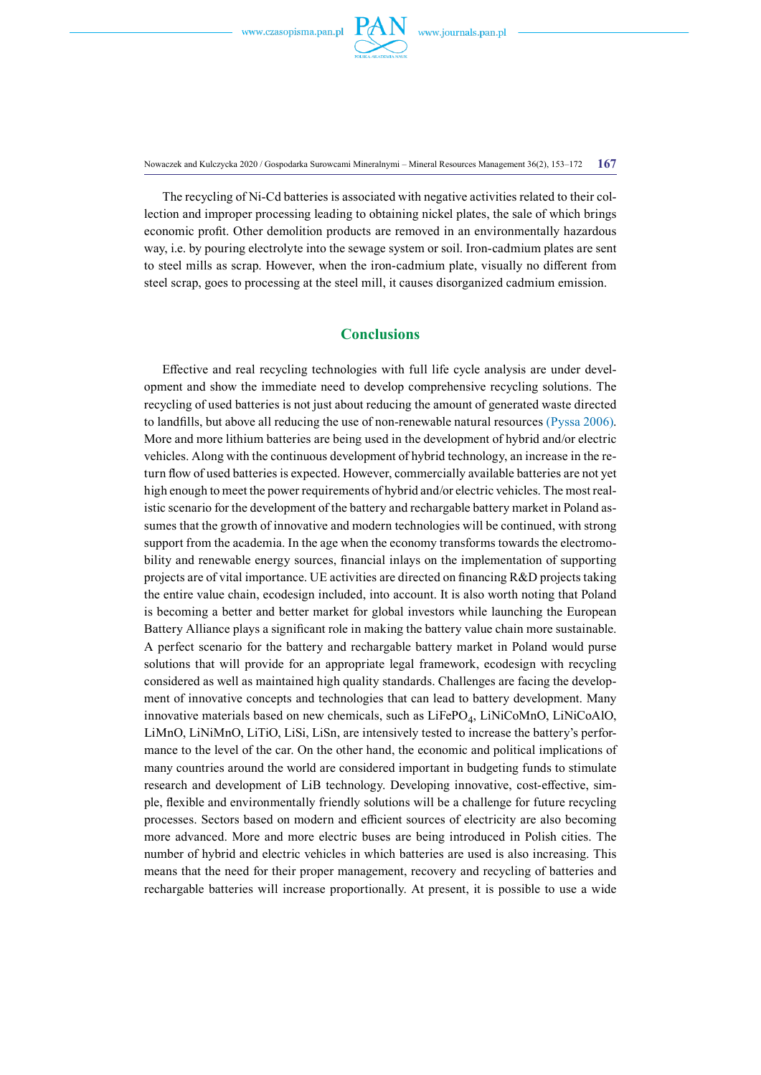

Nowaczek and Kulczycka 2020 / Gospodarka Surowcami Mineralnymi – Mineral Resources Management 36(2), 153–172 **167**

The recycling of Ni-Cd batteries is associated with negative activities related to their collection and improper processing leading to obtaining nickel plates, the sale of which brings economic profit. Other demolition products are removed in an environmentally hazardous way, i.e. by pouring electrolyte into the sewage system or soil. Iron-cadmium plates are sent to steel mills as scrap. However, when the iron-cadmium plate, visually no different from steel scrap, goes to processing at the steel mill, it causes disorganized cadmium emission.

# **Conclusions**

Effective and real recycling technologies with full life cycle analysis are under development and show the immediate need to develop comprehensive recycling solutions. The recycling of used batteries is not just about reducing the amount of generated waste directed to landfills, but above all reducing the use of non-renewable natural resources (Pyssa 2006). More and more lithium batteries are being used in the development of hybrid and/or electric vehicles. Along with the continuous development of hybrid technology, an increase in the return flow of used batteries is expected. However, commercially available batteries are not yet high enough to meet the power requirements of hybrid and/or electric vehicles. The most realistic scenario for the development of the battery and rechargable battery market in Poland assumes that the growth of innovative and modern technologies will be continued, with strong support from the academia. In the age when the economy transforms towards the electromobility and renewable energy sources, financial inlays on the implementation of supporting projects are of vital importance. UE activities are directed on financing R&D projects taking the entire value chain, ecodesign included, into account. It is also worth noting that Poland is becoming a better and better market for global investors while launching the European Battery Alliance plays a significant role in making the battery value chain more sustainable. A perfect scenario for the battery and rechargable battery market in Poland would purse solutions that will provide for an appropriate legal framework, ecodesign with recycling considered as well as maintained high quality standards. Challenges are facing the development of innovative concepts and technologies that can lead to battery development. Many innovative materials based on new chemicals, such as  $LiFePO<sub>4</sub>$ ,  $LiNiCoMnO$ ,  $LiNiCoAlO$ , LiMnO, LiNiMnO, LiTiO, LiSi, LiSn, are intensively tested to increase the battery's performance to the level of the car. On the other hand, the economic and political implications of many countries around the world are considered important in budgeting funds to stimulate research and development of LiB technology. Developing innovative, cost-effective, simple, flexible and environmentally friendly solutions will be a challenge for future recycling processes. Sectors based on modern and efficient sources of electricity are also becoming more advanced. More and more electric buses are being introduced in Polish cities. The number of hybrid and electric vehicles in which batteries are used is also increasing. This means that the need for their proper management, recovery and recycling of batteries and rechargable batteries will increase proportionally. At present, it is possible to use a wide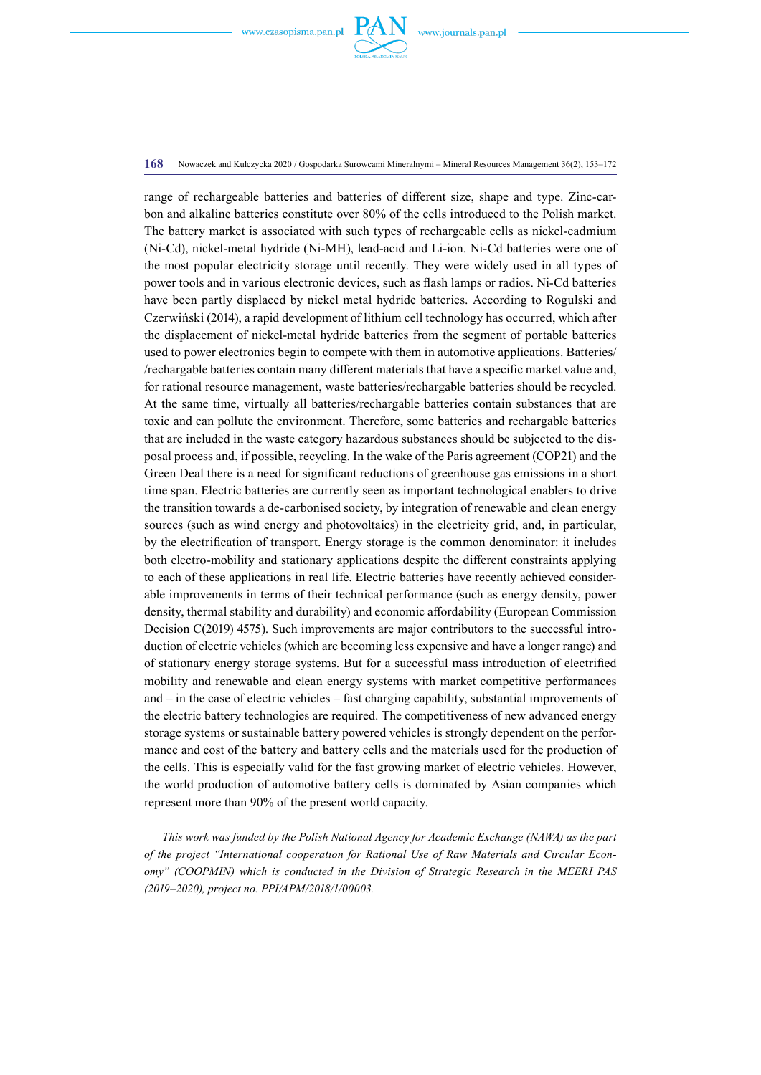

#### **168** Nowaczek and Kulczycka 2020 / Gospodarka Surowcami Mineralnymi – Mineral Resources Management 36(2), 153–172

range of rechargeable batteries and batteries of different size, shape and type. Zinc-carbon and alkaline batteries constitute over 80% of the cells introduced to the Polish market. The battery market is associated with such types of rechargeable cells as nickel-cadmium (Ni-Cd), nickel-metal hydride (Ni-MH), lead-acid and Li-ion. Ni-Cd batteries were one of the most popular electricity storage until recently. They were widely used in all types of power tools and in various electronic devices, such as flash lamps or radios. Ni-Cd batteries have been partly displaced by nickel metal hydride batteries. According to Rogulski and Czerwiński (2014), a rapid development of lithium cell technology has occurred, which after the displacement of nickel-metal hydride batteries from the segment of portable batteries used to power electronics begin to compete with them in automotive applications. Batteries/ /rechargable batteries contain many different materials that have a specific market value and, for rational resource management, waste batteries/rechargable batteries should be recycled. At the same time, virtually all batteries/rechargable batteries contain substances that are toxic and can pollute the environment. Therefore, some batteries and rechargable batteries that are included in the waste category hazardous substances should be subjected to the disposal process and, if possible, recycling. In the wake of the Paris agreement (COP21) and the Green Deal there is a need for significant reductions of greenhouse gas emissions in a short time span. Electric batteries are currently seen as important technological enablers to drive the transition towards a de-carbonised society, by integration of renewable and clean energy sources (such as wind energy and photovoltaics) in the electricity grid, and, in particular, by the electrification of transport. Energy storage is the common denominator: it includes both electro-mobility and stationary applications despite the different constraints applying to each of these applications in real life. Electric batteries have recently achieved considerable improvements in terms of their technical performance (such as energy density, power density, thermal stability and durability) and economic affordability (European Commission Decision C(2019) 4575). Such improvements are major contributors to the successful introduction of electric vehicles (which are becoming less expensive and have a longer range) and of stationary energy storage systems. But for a successful mass introduction of electrified mobility and renewable and clean energy systems with market competitive performances and – in the case of electric vehicles – fast charging capability, substantial improvements of the electric battery technologies are required. The competitiveness of new advanced energy storage systems or sustainable battery powered vehicles is strongly dependent on the performance and cost of the battery and battery cells and the materials used for the production of the cells. This is especially valid for the fast growing market of electric vehicles. However, the world production of automotive battery cells is dominated by Asian companies which represent more than 90% of the present world capacity.

*This work was funded by the Polish National Agency for Academic Exchange (NAWA) as the part of the project "International cooperation for Rational Use of Raw Materials and Circular Economy" (COOPMIN) which is conducted in the Division of Strategic Research in the MEERI PAS (2019–2020), project no. PPI/APM/2018/1/00003.*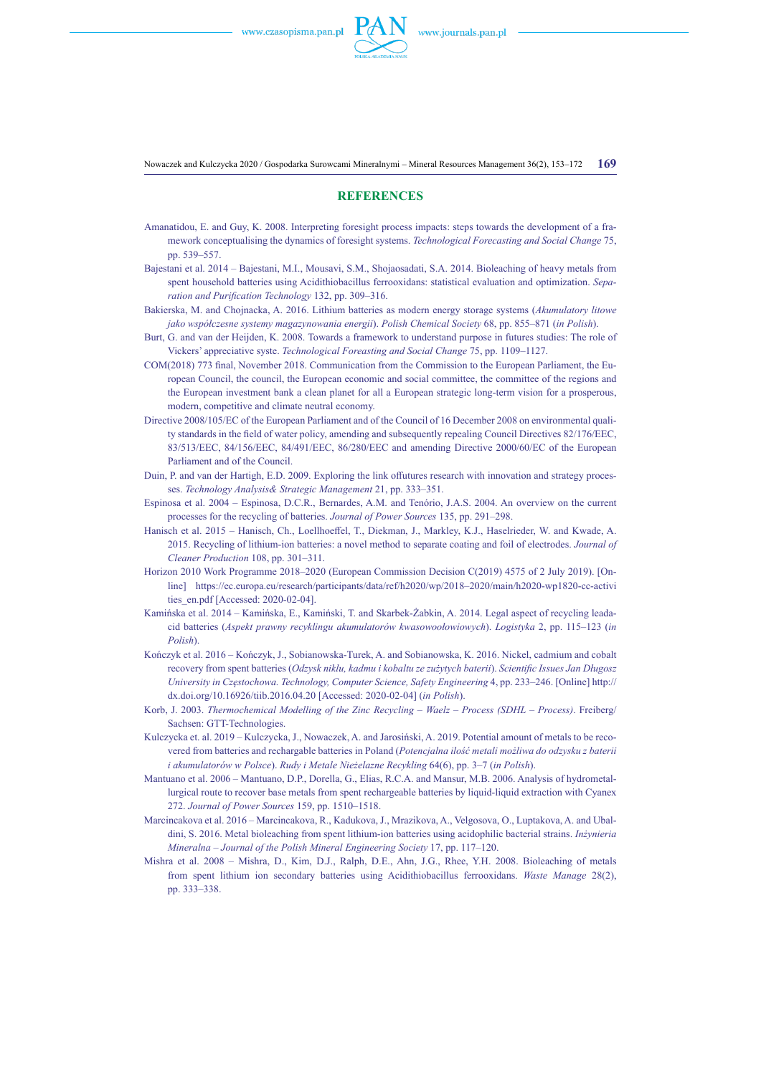

Nowaczek and Kulczycka 2020 / Gospodarka Surowcami Mineralnymi – Mineral Resources Management 36(2), 153–172 **169**

#### **References**

- Amanatidou, E. and Guy, K. 2008. Interpreting foresight process impacts: steps towards the development of a framework conceptualising the dynamics of foresight systems. *Technological Forecasting and Social Change* 75, pp. 539–557.
- Bajestani et al. 2014 Bajestani, M.I., Mousavi, S.M., Shojaosadati, S.A. 2014. Bioleaching of heavy metals from spent household batteries using Acidithiobacillus ferrooxidans: statistical evaluation and optimization. *Separation and Purification Technology* 132, pp. 309–316.
- Bakierska, M. and Chojnacka, A. 2016. Lithium batteries as modern energy storage systems (*Akumulatory litowe jako współczesne systemy magazynowania energii*). *Polish Chemical Society* 68, pp. 855–871 (*in Polish*).
- Burt, G. and van der Heijden, K. 2008. Towards a framework to understand purpose in futures studies: The role of Vickers' appreciative syste. *Technological Foreasting and Social Change* 75, pp. 1109–1127.
- COM(2018) 773 final, November 2018. Communication from the Commission to the European Parliament, the European Council, the council, the European economic and social committee, the committee of the regions and the European investment bank a clean planet for all a European strategic long-term vision for a prosperous, modern, competitive and climate neutral economy.
- Directive 2008/105/EC of the European Parliament and of the Council of 16 December 2008 on environmental quality standards in the field of water policy, amending and subsequently repealing Council Directives 82/176/EEC, 83/513/EEC, 84/156/EEC, 84/491/EEC, 86/280/EEC and amending Directive 2000/60/EC of the European Parliament and of the Council.
- Duin, P. and van der Hartigh, E.D. 2009. Exploring the link offutures research with innovation and strategy processes. *Technology Analysis& Strategic Management* 21, pp. 333–351.
- Espinosa et al. 2004 Espinosa, D.C.R., Bernardes, A.M. and Tenório, J.A.S. 2004. An overview on the current processes for the recycling of batteries. *Journal of Power Sources* 135, pp. 291–298.
- Hanisch et al. 2015 Hanisch, Ch., Loellhoeffel, T., Diekman, J., Markley, K.J., Haselrieder, W. and Kwade, A. 2015. Recycling of lithium-ion batteries: a novel method to separate coating and foil of electrodes. *Journal of Cleaner Production* 108, pp. 301–311.
- Horizon 2010 Work Programme 2018–2020 (European Commission Decision C(2019) 4575 of 2 July 2019). [Online] [https://ec.europa.eu/research/participants/data/ref/h2020/wp/2018–2020/main/h2020-wp1820-cc-activi](https://ec.europa.eu/research/participants/data/ref/h2020/wp/2018-2020/main/h2020-wp1820-cc-activities_en.pdf) [ties\\_en.pdf](https://ec.europa.eu/research/participants/data/ref/h2020/wp/2018-2020/main/h2020-wp1820-cc-activities_en.pdf) [Accessed: 2020-02-04].
- Kamińska et al. 2014 Kamińska, E., Kamiński, T. and Skarbek-Żabkin, A. 2014. Legal aspect of recycling leadacid batteries (*Aspekt prawny recyklingu akumulatorów kwasowoołowiowych*). *Logistyka* 2, pp. 115–123 (*in Polish*).
- Kończyk et al. 2016 Kończyk, J., Sobianowska-Turek, A. and Sobianowska, K. 2016. Nickel, cadmium and cobalt recovery from spent batteries (*Odzysk niklu, kadmu i kobaltu ze zużytych baterii*). *Scientific Issues Jan Długosz University in Częstochowa. Technology, Computer Science, Safety Engineering* 4, pp. 233–246. [Online] [http://](http://dx.doi.org/10.16926/tiib.2016.04.20) [dx.doi.org/10.16926/tiib.2016.04.20](http://dx.doi.org/10.16926/tiib.2016.04.20) [Accessed: 2020-02-04] (*in Polish*).
- Korb, J. 2003. *Thermochemical Modelling of the Zinc Recycling Waelz Process (SDHL Process)*. Freiberg/ Sachsen: GTT-Technologies.
- Kulczycka et. al. 2019 Kulczycka, J., Nowaczek, A. and Jarosiński, A. 2019. Potential amount of metals to be recovered from batteries and rechargable batteries in Poland (*Potencjalna ilość metali możliwa do odzysku z baterii i akumulatorów w Polsce*). *Rudy i [Metale Nieżelazne Recykling](http://yadda.icm.edu.pl/baztech/element/bwmeta1.element.baztech-d54d2031-09ac-407c-87af-28c51f65a030)* 64(6), pp. 3–7 (*in Polish*).
- Mantuano et al. 2006 Mantuano, D.P., Dorella, G., Elias, R.C.A. and Mansur, M.B. 2006. Analysis of hydrometallurgical route to recover base metals from spent rechargeable batteries by liquid-liquid extraction with Cyanex 272. *Journal of Power Sources* 159, pp. 1510–1518.
- Marcincakova et al. 2016 Marcincakova, R., Kadukova, J., Mrazikova, A., Velgosova, O., Luptakova, A. and Ubaldini, S. 2016. Metal bioleaching from spent lithium-ion batteries using acidophilic bacterial strains. *Inżynieria Mineralna – Journal of the Polish Mineral Engineering Society* 17, pp. 117–120.
- Mishra et al. 2008 Mishra, D., Kim, D.J., Ralph, D.E., Ahn, J.G., Rhee, Y.H. 2008. Bioleaching of metals from spent lithium ion secondary batteries using Acidithiobacillus ferrooxidans. *Waste Manage* 28(2), pp. 333–338.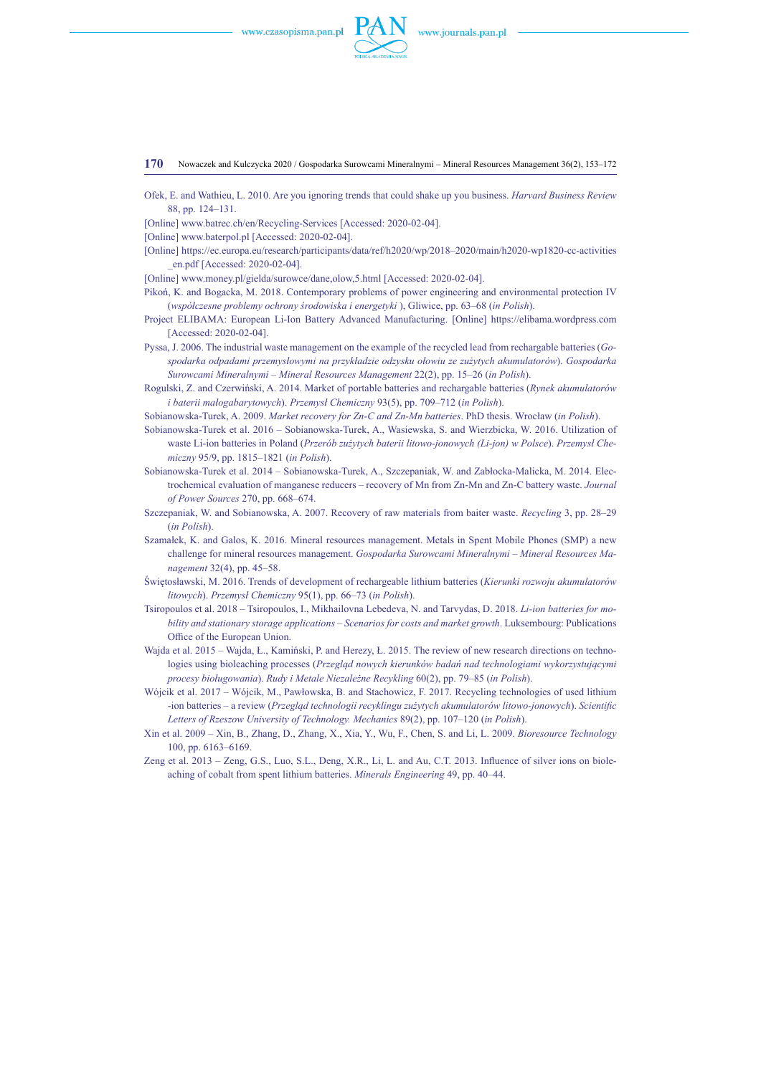

**170** Nowaczek and Kulczycka 2020 / Gospodarka Surowcami Mineralnymi – Mineral Resources Management 36(2), 153–172

- Ofek, E. and Wathieu, L. 2010. Are you ignoring trends that could shake up you business. *Harvard Business Review* 88, pp. 124–131.
- [Online] [www.batrec.ch/en/Recycling-Services](http://www.batrec.ch/en/Recycling-Services) [Accessed: 2020-02-04].
- [Online] [www.baterpol.pl](http://www.baterpol.pl) [Accessed: 2020-02-04].
- [Online] [https://ec.europa.eu/research/participants/data/ref/h2020/wp/2018–2020/main/h2020-wp1820-cc-activities](https://ec.europa.eu/research/participants/data/ref/h2020/wp/2018-2020/main/h2020-wp1820-cc-activities_en.pdf) [\\_en.pdf](https://ec.europa.eu/research/participants/data/ref/h2020/wp/2018-2020/main/h2020-wp1820-cc-activities_en.pdf) [Accessed: 2020-02-04].
- [Online] www.money.pl/gielda/surowce/dane,olow,5.html [Accessed: 2020-02-04].
- Pikoń, K. and Bogacka, M. 2018. Contemporary problems of power engineering and environmental protection IV (*współczesne problemy ochrony środowiska i energetyki* ), Gliwice, pp. 63–68 (*in Polish*).
- Project ELIBAMA: European Li-Ion Battery Advanced Manufacturing. [Online] https://elibama.wordpress.com [Accessed: 2020-02-04].
- Pyssa, J. 2006. The industrial waste management on the example of the recycled lead from rechargable batteries (*Gospodarka odpadami przemysłowymi na przykładzie odzysku ołowiu ze zużytych akumulatorów*). *Gospodarka Surowcami Mineralnymi – Mineral Resources Management* 22(2), pp. 15–26 (*in Polish*).
- Rogulski, Z. and Czerwiński, A. 2014. Market of portable batteries and rechargable batteries (*Rynek akumulatorów i baterii małogabarytowych*). *Przemysł Chemiczny* 93(5), pp. 709–712 (*in Polish*).
- Sobianowska-Turek, A. 2009. *Market recovery for Zn-C and Zn-Mn batteries*. PhD thesis. Wrocław (*in Polish*).
- Sobianowska-Turek et al. 2016 Sobianowska-Turek, A., Wasiewska, S. and Wierzbicka, W. 2016. Utilization of waste Li-ion batteries in Poland (*Przerób zużytych baterii litowo-jonowych (Li-jon) w Polsce*). *Przemysł Chemiczny* 95/9, pp. 1815–1821 (*in Polish*).
- Sobianowska-Turek et al. 2014 Sobianowska-Turek, A., Szczepaniak, W. and Zabłocka-Malicka, M. 2014. Electrochemical evaluation of manganese reducers – recovery of Mn from Zn-Mn and Zn-C battery waste. *Journal of Power Sources* 270, pp. 668–674.
- Szczepaniak, W. and Sobianowska, A. 2007. Recovery of raw materials from baiter waste. *Recycling* 3, pp. 28–29 (*in Polish*).
- Szamałek, K. and Galos, K. 2016. Mineral resources management. Metals in Spent Mobile Phones (SMP) a new challenge for mineral resources management. *Gospodarka Surowcami Mineralnymi – Mineral Resources Management* 32(4), pp. 45–58.
- Świętosławski, M. 2016. Trends of development of rechargeable lithium batteries (*Kierunki rozwoju akumulatorów litowych*). *Przemysł Chemiczny* 95(1), pp. 66–73 (*in Polish*).
- Tsiropoulos et al. 2018 Tsiropoulos, I., [Mikhailovna Lebedeva,](https://www.researchgate.net/profile/Natalia_Lebedeva9) N. and [Tarvydas,](https://www.researchgate.net/profile/Dalius_Tarvydas2) D. 2018. *Li-ion batteries for mobility and stationary storage applications – Scenarios for costs and market growth*. Luksembourg: Publications Office of the European Union.
- Wajda et al. 2015 Wajda, Ł., Kamiński, P. and Herezy, Ł. 2015. The review of new research directions on technologies using bioleaching processes (*Przegląd nowych kierunków badań nad technologiami wykorzystującymi procesy bioługowania*). *Rudy i Metale Niezależne Recykling* 60(2), pp. 79–85 (*in Polish*).
- Wójcik et al. 2017 Wójcik, M., Pawłowska, B. and Stachowicz, F. 2017. Recycling technologies of used lithium -ion batteries – a review (*Przegląd technologii recyklingu zużytych akumulatorów litowo-jonowych*). *Scientific Letters of Rzeszow University of Technology. Mechanics* 89(2), pp. 107–120 (*in Polish*).
- Xin et al. 2009 Xin, B., Zhang, D., Zhang, X., Xia, Y., Wu, F., Chen, S. and Li, L. 2009. *Bioresource Technology*  100, pp. 6163–6169.
- Zeng et al. 2013 Zeng, G.S., Luo, S.L., Deng, X.R., Li, L. and Au, C.T. 2013. Influence of silver ions on bioleaching of cobalt from spent lithium batteries. *Minerals Engineering* 49, pp. 40–44.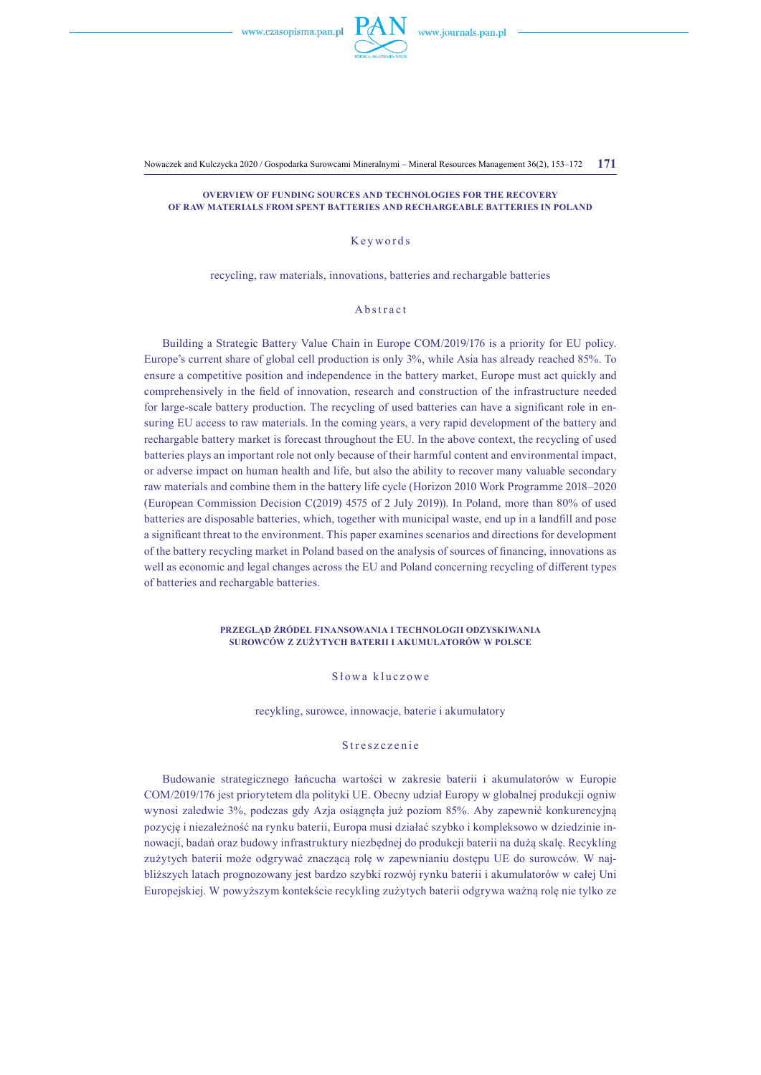

Nowaczek and Kulczycka 2020 / Gospodarka Surowcami Mineralnymi – Mineral Resources Management 36(2), 153–172 **171**

**Overview of funding sources and technologies for the recovery of raw materials from spent batteries and rechargeable batteries in Poland**

# Keywords

recycling, raw materials, innovations, batteries and rechargable batteries

### Abstract

Building a Strategic Battery Value Chain in Europe COM/2019/176 is a priority for EU policy. Europe's current share of global cell production is only 3%, while Asia has already reached 85%. To ensure a competitive position and independence in the battery market, Europe must act quickly and comprehensively in the field of innovation, research and construction of the infrastructure needed for large-scale battery production. The recycling of used batteries can have a significant role in ensuring EU access to raw materials. In the coming years, a very rapid development of the battery and rechargable battery market is forecast throughout the EU. In the above context, the recycling of used batteries plays an important role not only because of their harmful content and environmental impact, or adverse impact on human health and life, but also the ability to recover many valuable secondary raw materials and combine them in the battery life cycle (Horizon 2010 Work Programme 2018–2020 (European Commission Decision C(2019) 4575 of 2 July 2019)). In Poland, more than 80% of used batteries are disposable batteries, which, together with municipal waste, end up in a landfill and pose a significant threat to the environment. This paper examines scenarios and directions for development of the battery recycling market in Poland based on the analysis of sources of financing, innovations as well as economic and legal changes across the EU and Poland concerning recycling of different types of batteries and rechargable batteries.

#### **Przegląd źródeł finansowania i technologii odzyskiwania surowców z zużytych baterii i akumulatorów w Polsce**

# Słowa kluczowe

recykling, surowce, innowacje, baterie i akumulatory

## Streszczenie

Budowanie strategicznego łańcucha wartości w zakresie baterii i akumulatorów w Europie COM/2019/176 jest priorytetem dla polityki UE. Obecny udział Europy w globalnej produkcji ogniw wynosi zaledwie 3%, podczas gdy Azja osiągnęła już poziom 85%. Aby zapewnić konkurencyjną pozycję i niezależność na rynku baterii, Europa musi działać szybko i kompleksowo w dziedzinie innowacji, badań oraz budowy infrastruktury niezbędnej do produkcji baterii na dużą skalę. Recykling zużytych baterii może odgrywać znaczącą rolę w zapewnianiu dostępu UE do surowców. W najbliższych latach prognozowany jest bardzo szybki rozwój rynku baterii i akumulatorów w całej Uni Europejskiej. W powyższym kontekście recykling zużytych baterii odgrywa ważną rolę nie tylko ze